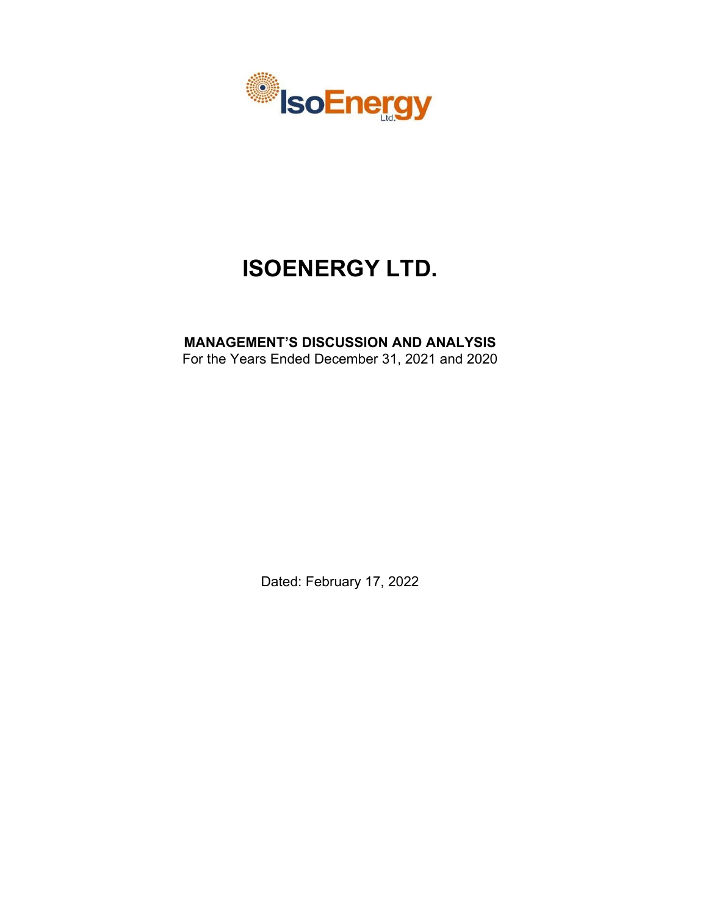

# **ISOENERGY LTD.**

# **MANAGEMENT'S DISCUSSION AND ANALYSIS**

For the Years Ended December 31, 2021 and 2020

Dated: February 17, 2022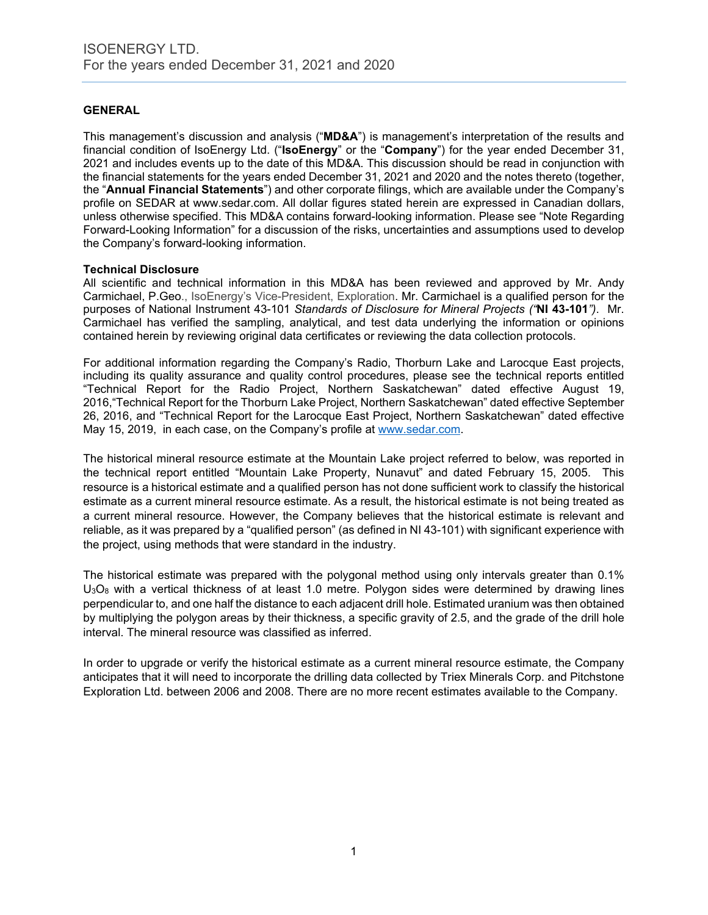# **GENERAL**

This management's discussion and analysis ("**MD&A**") is management's interpretation of the results and financial condition of IsoEnergy Ltd. ("**IsoEnergy**" or the "**Company**") for the year ended December 31, 2021 and includes events up to the date of this MD&A. This discussion should be read in conjunction with the financial statements for the years ended December 31, 2021 and 2020 and the notes thereto (together, the "**Annual Financial Statements**") and other corporate filings, which are available under the Company's profile on SEDAR at www.sedar.com. All dollar figures stated herein are expressed in Canadian dollars, unless otherwise specified. This MD&A contains forward-looking information. Please see "Note Regarding Forward-Looking Information" for a discussion of the risks, uncertainties and assumptions used to develop the Company's forward-looking information.

#### **Technical Disclosure**

All scientific and technical information in this MD&A has been reviewed and approved by Mr. Andy Carmichael, P.Geo., IsoEnergy's Vice-President, Exploration. Mr. Carmichael is a qualified person for the purposes of National Instrument 43-101 *Standards of Disclosure for Mineral Projects ("***NI 43-101***")*. Mr. Carmichael has verified the sampling, analytical, and test data underlying the information or opinions contained herein by reviewing original data certificates or reviewing the data collection protocols.

For additional information regarding the Company's Radio, Thorburn Lake and Larocque East projects, including its quality assurance and quality control procedures, please see the technical reports entitled "Technical Report for the Radio Project, Northern Saskatchewan" dated effective August 19, 2016,"Technical Report for the Thorburn Lake Project, Northern Saskatchewan" dated effective September 26, 2016, and "Technical Report for the Larocque East Project, Northern Saskatchewan" dated effective May 15, 2019, in each case, on the Company's profile at [www.sedar.com.](http://www.sedar.com/)

The historical mineral resource estimate at the Mountain Lake project referred to below, was reported in the technical report entitled "Mountain Lake Property, Nunavut" and dated February 15, 2005. This resource is a historical estimate and a qualified person has not done sufficient work to classify the historical estimate as a current mineral resource estimate. As a result, the historical estimate is not being treated as a current mineral resource. However, the Company believes that the historical estimate is relevant and reliable, as it was prepared by a "qualified person" (as defined in NI 43-101) with significant experience with the project, using methods that were standard in the industry.

The historical estimate was prepared with the polygonal method using only intervals greater than 0.1%  $U_3O_8$  with a vertical thickness of at least 1.0 metre. Polygon sides were determined by drawing lines perpendicular to, and one half the distance to each adjacent drill hole. Estimated uranium was then obtained by multiplying the polygon areas by their thickness, a specific gravity of 2.5, and the grade of the drill hole interval. The mineral resource was classified as inferred.

In order to upgrade or verify the historical estimate as a current mineral resource estimate, the Company anticipates that it will need to incorporate the drilling data collected by Triex Minerals Corp. and Pitchstone Exploration Ltd. between 2006 and 2008. There are no more recent estimates available to the Company.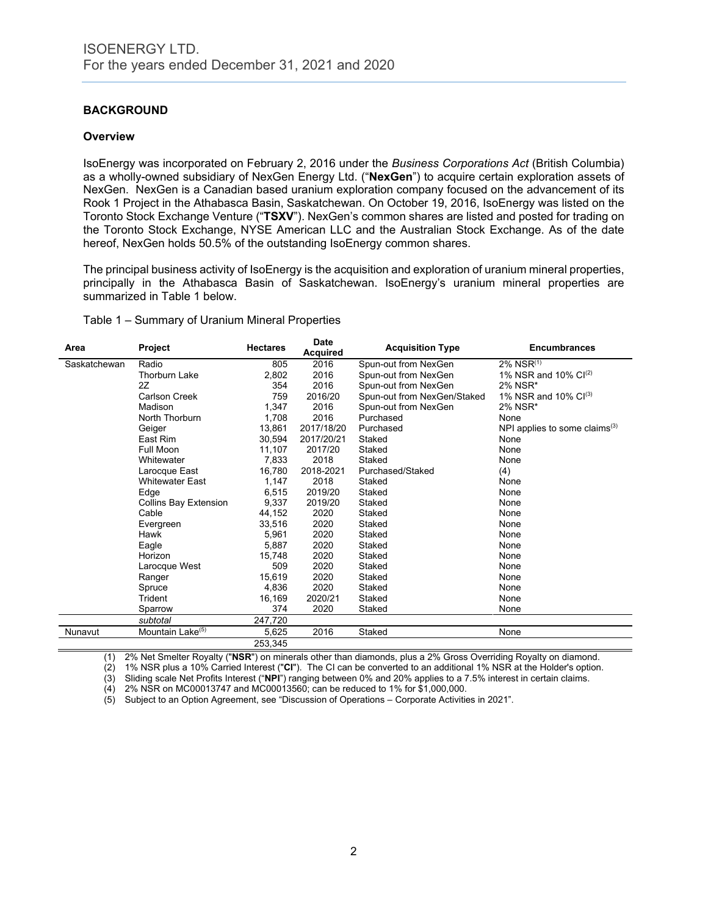# **BACKGROUND**

#### **Overview**

IsoEnergy was incorporated on February 2, 2016 under the *Business Corporations Act* (British Columbia) as a wholly-owned subsidiary of NexGen Energy Ltd. ("**NexGen**") to acquire certain exploration assets of NexGen. NexGen is a Canadian based uranium exploration company focused on the advancement of its Rook 1 Project in the Athabasca Basin, Saskatchewan. On October 19, 2016, IsoEnergy was listed on the Toronto Stock Exchange Venture ("**TSXV**"). NexGen's common shares are listed and posted for trading on the Toronto Stock Exchange, NYSE American LLC and the Australian Stock Exchange. As of the date hereof, NexGen holds 50.5% of the outstanding IsoEnergy common shares.

The principal business activity of IsoEnergy is the acquisition and exploration of uranium mineral properties, principally in the Athabasca Basin of Saskatchewan. IsoEnergy's uranium mineral properties are summarized in Table 1 below.

#### Table 1 – Summary of Uranium Mineral Properties

| Area         | Project                      | <b>Hectares</b> | Date<br><b>Acquired</b> | <b>Acquisition Type</b>     | <b>Encumbrances</b>              |
|--------------|------------------------------|-----------------|-------------------------|-----------------------------|----------------------------------|
| Saskatchewan | Radio                        | 805             | 2016                    | Spun-out from NexGen        | $2\%$ NSR $^{(1)}$               |
|              | <b>Thorburn Lake</b>         | 2,802           | 2016                    | Spun-out from NexGen        | 1% NSR and 10% $Cl^{(2)}$        |
|              | 2Z                           | 354             | 2016                    | Spun-out from NexGen        | 2% NSR*                          |
|              | Carlson Creek                | 759             | 2016/20                 | Spun-out from NexGen/Staked | 1% NSR and 10% $Cl^{(3)}$        |
|              | Madison                      | 1,347           | 2016                    | Spun-out from NexGen        | 2% NSR*                          |
|              | North Thorburn               | 1,708           | 2016                    | Purchased                   | None                             |
|              | Geiger                       | 13,861          | 2017/18/20              | Purchased                   | NPI applies to some claims $(3)$ |
|              | East Rim                     | 30,594          | 2017/20/21              | Staked                      | None                             |
|              | Full Moon                    | 11,107          | 2017/20                 | Staked                      | None                             |
|              | Whitewater                   | 7,833           | 2018                    | Staked                      | None                             |
|              | Larocque East                | 16,780          | 2018-2021               | Purchased/Staked            | (4)                              |
|              | <b>Whitewater East</b>       | 1,147           | 2018                    | Staked                      | None                             |
|              | Edge                         | 6,515           | 2019/20                 | Staked                      | None                             |
|              | <b>Collins Bay Extension</b> | 9,337           | 2019/20                 | Staked                      | None                             |
|              | Cable                        | 44,152          | 2020                    | Staked                      | None                             |
|              | Evergreen                    | 33,516          | 2020                    | Staked                      | None                             |
|              | Hawk                         | 5,961           | 2020                    | Staked                      | None                             |
|              | Eagle                        | 5,887           | 2020                    | Staked                      | None                             |
|              | Horizon                      | 15,748          | 2020                    | Staked                      | None                             |
|              | Larocque West                | 509             | 2020                    | Staked                      | None                             |
|              | Ranger                       | 15,619          | 2020                    | Staked                      | None                             |
|              | Spruce                       | 4,836           | 2020                    | Staked                      | None                             |
|              | Trident                      | 16,169          | 2020/21                 | Staked                      | None                             |
|              | Sparrow                      | 374             | 2020                    | Staked                      | None                             |
|              | subtotal                     | 247,720         |                         |                             |                                  |
| Nunavut      | Mountain Lake <sup>(5)</sup> | 5,625           | 2016                    | Staked                      | None                             |
|              |                              | 253,345         |                         |                             |                                  |

(1) 2% Net Smelter Royalty ("**NSR**") on minerals other than diamonds, plus a 2% Gross Overriding Royalty on diamond.

(2) 1% NSR plus a 10% Carried Interest ("**CI**"). The CI can be converted to an additional 1% NSR at the Holder's option.

(3) Sliding scale Net Profits Interest ("**NPI**") ranging between 0% and 20% applies to a 7.5% interest in certain claims.

(4) 2% NSR on MC00013747 and MC00013560; can be reduced to 1% for \$1,000,000.

(5) Subject to an Option Agreement, see "Discussion of Operations – Corporate Activities in 2021".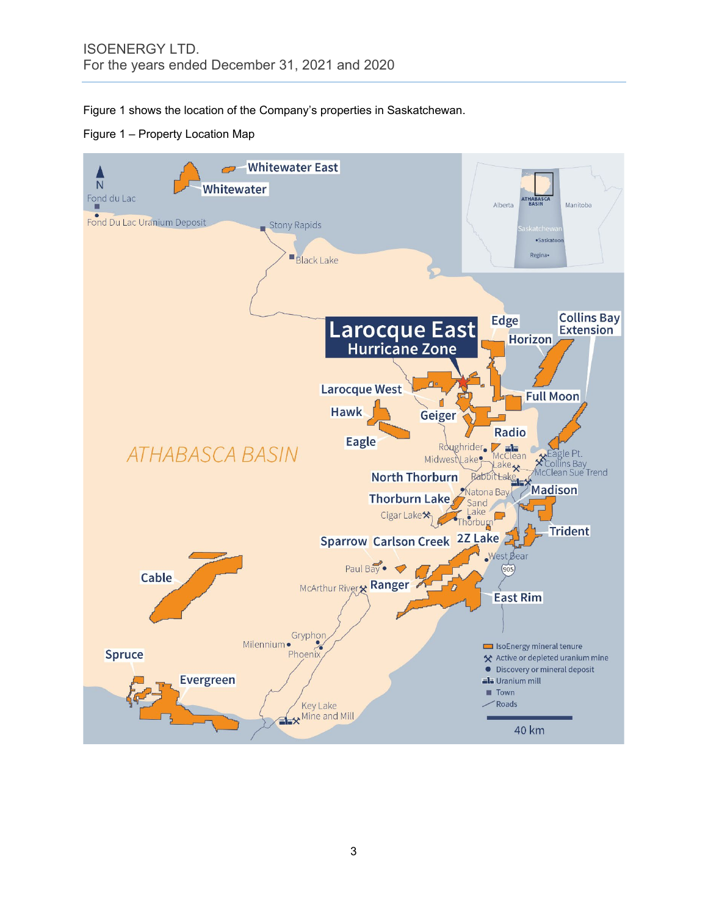Figure 1 shows the location of the Company's properties in Saskatchewan.

Figure 1 – Property Location Map

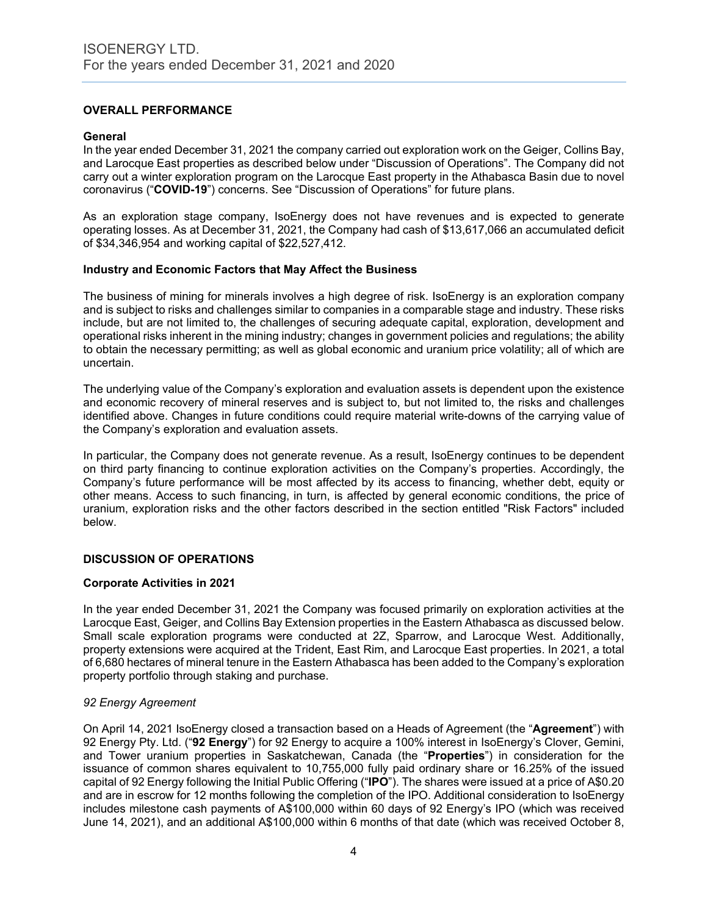# **OVERALL PERFORMANCE**

#### **General**

In the year ended December 31, 2021 the company carried out exploration work on the Geiger, Collins Bay, and Larocque East properties as described below under "Discussion of Operations". The Company did not carry out a winter exploration program on the Larocque East property in the Athabasca Basin due to novel coronavirus ("**COVID-19**") concerns. See "Discussion of Operations" for future plans.

As an exploration stage company, IsoEnergy does not have revenues and is expected to generate operating losses. As at December 31, 2021, the Company had cash of \$13,617,066 an accumulated deficit of \$34,346,954 and working capital of \$22,527,412.

#### **Industry and Economic Factors that May Affect the Business**

The business of mining for minerals involves a high degree of risk. IsoEnergy is an exploration company and is subject to risks and challenges similar to companies in a comparable stage and industry. These risks include, but are not limited to, the challenges of securing adequate capital, exploration, development and operational risks inherent in the mining industry; changes in government policies and regulations; the ability to obtain the necessary permitting; as well as global economic and uranium price volatility; all of which are uncertain.

The underlying value of the Company's exploration and evaluation assets is dependent upon the existence and economic recovery of mineral reserves and is subject to, but not limited to, the risks and challenges identified above. Changes in future conditions could require material write-downs of the carrying value of the Company's exploration and evaluation assets.

In particular, the Company does not generate revenue. As a result, IsoEnergy continues to be dependent on third party financing to continue exploration activities on the Company's properties. Accordingly, the Company's future performance will be most affected by its access to financing, whether debt, equity or other means. Access to such financing, in turn, is affected by general economic conditions, the price of uranium, exploration risks and the other factors described in the section entitled "Risk Factors" included below.

#### **DISCUSSION OF OPERATIONS**

#### **Corporate Activities in 2021**

In the year ended December 31, 2021 the Company was focused primarily on exploration activities at the Larocque East, Geiger, and Collins Bay Extension properties in the Eastern Athabasca as discussed below. Small scale exploration programs were conducted at 2Z, Sparrow, and Larocque West. Additionally, property extensions were acquired at the Trident, East Rim, and Larocque East properties. In 2021, a total of 6,680 hectares of mineral tenure in the Eastern Athabasca has been added to the Company's exploration property portfolio through staking and purchase.

#### *92 Energy Agreement*

On April 14, 2021 IsoEnergy closed a transaction based on a Heads of Agreement (the "**Agreement**") with 92 Energy Pty. Ltd. ("**92 Energy**") for 92 Energy to acquire a 100% interest in IsoEnergy's Clover, Gemini, and Tower uranium properties in Saskatchewan, Canada (the "**Properties**") in consideration for the issuance of common shares equivalent to 10,755,000 fully paid ordinary share or 16.25% of the issued capital of 92 Energy following the Initial Public Offering ("**IPO**"). The shares were issued at a price of A\$0.20 and are in escrow for 12 months following the completion of the IPO. Additional consideration to IsoEnergy includes milestone cash payments of A\$100,000 within 60 days of 92 Energy's IPO (which was received June 14, 2021), and an additional A\$100,000 within 6 months of that date (which was received October 8,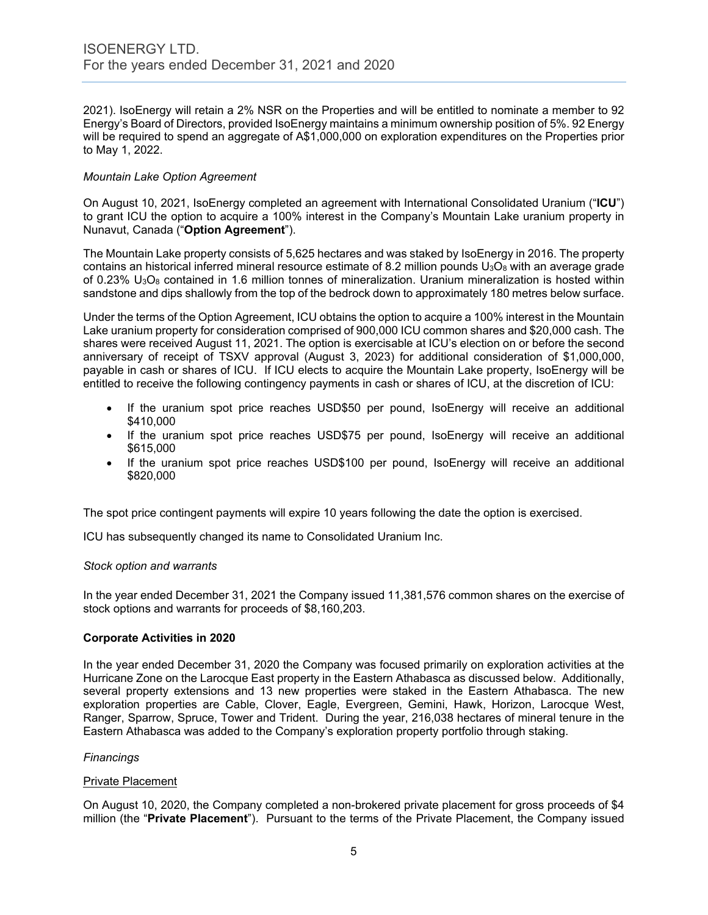2021). IsoEnergy will retain a 2% NSR on the Properties and will be entitled to nominate a member to 92 Energy's Board of Directors, provided IsoEnergy maintains a minimum ownership position of 5%. 92 Energy will be required to spend an aggregate of A\$1,000,000 on exploration expenditures on the Properties prior to May 1, 2022.

#### *Mountain Lake Option Agreement*

On August 10, 2021, IsoEnergy completed an agreement with International Consolidated Uranium ("**ICU**") to grant ICU the option to acquire a 100% interest in the Company's Mountain Lake uranium property in Nunavut, Canada ("**Option Agreement**").

The Mountain Lake property consists of 5,625 hectares and was staked by IsoEnergy in 2016. The property contains an historical inferred mineral resource estimate of 8.2 million pounds  $U_3O_8$  with an average grade of 0.23%  $U_3O_8$  contained in 1.6 million tonnes of mineralization. Uranium mineralization is hosted within sandstone and dips shallowly from the top of the bedrock down to approximately 180 metres below surface.

Under the terms of the Option Agreement, ICU obtains the option to acquire a 100% interest in the Mountain Lake uranium property for consideration comprised of 900,000 ICU common shares and \$20,000 cash. The shares were received August 11, 2021. The option is exercisable at ICU's election on or before the second anniversary of receipt of TSXV approval (August 3, 2023) for additional consideration of \$1,000,000, payable in cash or shares of ICU. If ICU elects to acquire the Mountain Lake property, IsoEnergy will be entitled to receive the following contingency payments in cash or shares of ICU, at the discretion of ICU:

- If the uranium spot price reaches USD\$50 per pound, IsoEnergy will receive an additional \$410,000
- If the uranium spot price reaches USD\$75 per pound, IsoEnergy will receive an additional \$615,000
- If the uranium spot price reaches USD\$100 per pound, IsoEnergy will receive an additional \$820,000

The spot price contingent payments will expire 10 years following the date the option is exercised.

ICU has subsequently changed its name to Consolidated Uranium Inc.

#### *Stock option and warrants*

In the year ended December 31, 2021 the Company issued 11,381,576 common shares on the exercise of stock options and warrants for proceeds of \$8,160,203.

#### **Corporate Activities in 2020**

In the year ended December 31, 2020 the Company was focused primarily on exploration activities at the Hurricane Zone on the Larocque East property in the Eastern Athabasca as discussed below. Additionally, several property extensions and 13 new properties were staked in the Eastern Athabasca. The new exploration properties are Cable, Clover, Eagle, Evergreen, Gemini, Hawk, Horizon, Larocque West, Ranger, Sparrow, Spruce, Tower and Trident. During the year, 216,038 hectares of mineral tenure in the Eastern Athabasca was added to the Company's exploration property portfolio through staking.

#### *Financings*

#### Private Placement

On August 10, 2020, the Company completed a non-brokered private placement for gross proceeds of \$4 million (the "**Private Placement**"). Pursuant to the terms of the Private Placement, the Company issued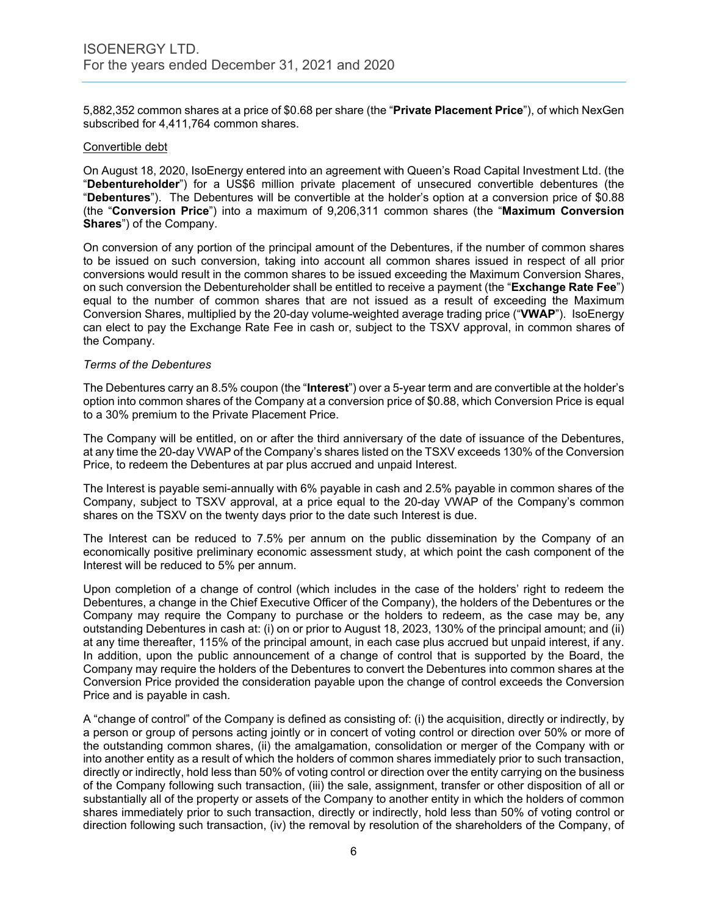5,882,352 common shares at a price of \$0.68 per share (the "**Private Placement Price**"), of which NexGen subscribed for 4,411,764 common shares.

#### Convertible debt

On August 18, 2020, IsoEnergy entered into an agreement with Queen's Road Capital Investment Ltd. (the "**Debentureholder**") for a US\$6 million private placement of unsecured convertible debentures (the "**Debentures**"). The Debentures will be convertible at the holder's option at a conversion price of \$0.88 (the "**Conversion Price**") into a maximum of 9,206,311 common shares (the "**Maximum Conversion Shares**") of the Company.

On conversion of any portion of the principal amount of the Debentures, if the number of common shares to be issued on such conversion, taking into account all common shares issued in respect of all prior conversions would result in the common shares to be issued exceeding the Maximum Conversion Shares, on such conversion the Debentureholder shall be entitled to receive a payment (the "**Exchange Rate Fee**") equal to the number of common shares that are not issued as a result of exceeding the Maximum Conversion Shares, multiplied by the 20-day volume-weighted average trading price ("**VWAP**"). IsoEnergy can elect to pay the Exchange Rate Fee in cash or, subject to the TSXV approval, in common shares of the Company.

#### *Terms of the Debentures*

The Debentures carry an 8.5% coupon (the "**Interest**") over a 5-year term and are convertible at the holder's option into common shares of the Company at a conversion price of \$0.88, which Conversion Price is equal to a 30% premium to the Private Placement Price.

The Company will be entitled, on or after the third anniversary of the date of issuance of the Debentures, at any time the 20-day VWAP of the Company's shares listed on the TSXV exceeds 130% of the Conversion Price, to redeem the Debentures at par plus accrued and unpaid Interest.

The Interest is payable semi-annually with 6% payable in cash and 2.5% payable in common shares of the Company, subject to TSXV approval, at a price equal to the 20-day VWAP of the Company's common shares on the TSXV on the twenty days prior to the date such Interest is due.

The Interest can be reduced to 7.5% per annum on the public dissemination by the Company of an economically positive preliminary economic assessment study, at which point the cash component of the Interest will be reduced to 5% per annum.

Upon completion of a change of control (which includes in the case of the holders' right to redeem the Debentures, a change in the Chief Executive Officer of the Company), the holders of the Debentures or the Company may require the Company to purchase or the holders to redeem, as the case may be, any outstanding Debentures in cash at: (i) on or prior to August 18, 2023, 130% of the principal amount; and (ii) at any time thereafter, 115% of the principal amount, in each case plus accrued but unpaid interest, if any. In addition, upon the public announcement of a change of control that is supported by the Board, the Company may require the holders of the Debentures to convert the Debentures into common shares at the Conversion Price provided the consideration payable upon the change of control exceeds the Conversion Price and is payable in cash.

A "change of control" of the Company is defined as consisting of: (i) the acquisition, directly or indirectly, by a person or group of persons acting jointly or in concert of voting control or direction over 50% or more of the outstanding common shares, (ii) the amalgamation, consolidation or merger of the Company with or into another entity as a result of which the holders of common shares immediately prior to such transaction, directly or indirectly, hold less than 50% of voting control or direction over the entity carrying on the business of the Company following such transaction, (iii) the sale, assignment, transfer or other disposition of all or substantially all of the property or assets of the Company to another entity in which the holders of common shares immediately prior to such transaction, directly or indirectly, hold less than 50% of voting control or direction following such transaction, (iv) the removal by resolution of the shareholders of the Company, of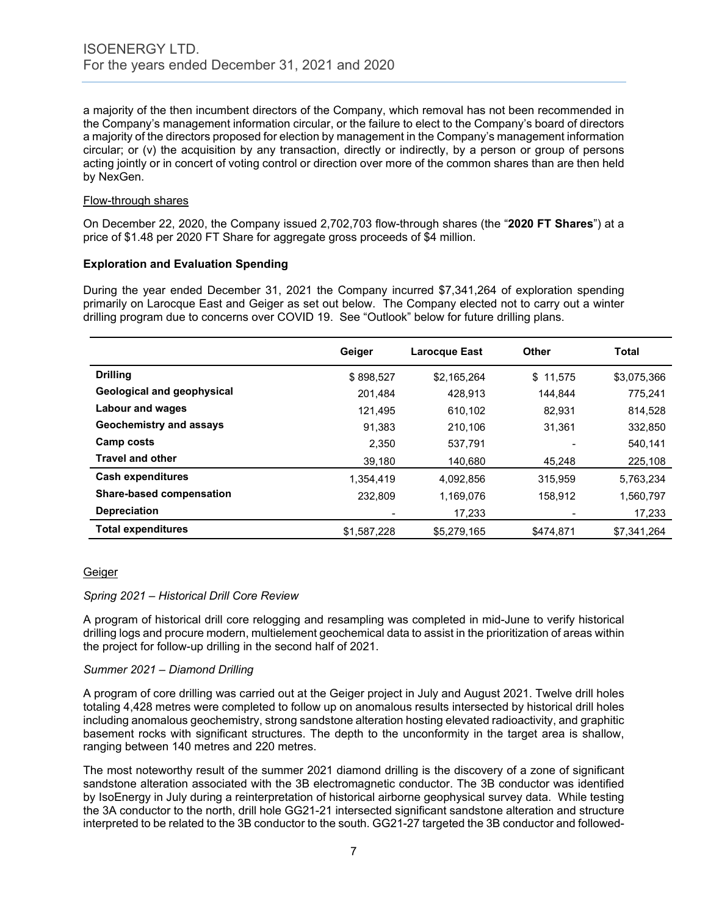a majority of the then incumbent directors of the Company, which removal has not been recommended in the Company's management information circular, or the failure to elect to the Company's board of directors a majority of the directors proposed for election by management in the Company's management information circular; or (v) the acquisition by any transaction, directly or indirectly, by a person or group of persons acting jointly or in concert of voting control or direction over more of the common shares than are then held by NexGen.

# Flow-through shares

On December 22, 2020, the Company issued 2,702,703 flow-through shares (the "**2020 FT Shares**") at a price of \$1.48 per 2020 FT Share for aggregate gross proceeds of \$4 million.

# **Exploration and Evaluation Spending**

During the year ended December 31, 2021 the Company incurred \$7,341,264 of exploration spending primarily on Larocque East and Geiger as set out below. The Company elected not to carry out a winter drilling program due to concerns over COVID 19. See "Outlook" below for future drilling plans.

|                            | Geiger      | Larocque East | <b>Other</b> | <b>Total</b> |
|----------------------------|-------------|---------------|--------------|--------------|
| <b>Drilling</b>            | \$898,527   | \$2.165.264   | \$11.575     | \$3,075,366  |
| Geological and geophysical | 201.484     | 428,913       | 144.844      | 775.241      |
| Labour and wages           | 121.495     | 610,102       | 82.931       | 814,528      |
| Geochemistry and assays    | 91.383      | 210.106       | 31.361       | 332.850      |
| Camp costs                 | 2.350       | 537,791       |              | 540.141      |
| <b>Travel and other</b>    | 39,180      | 140,680       | 45,248       | 225,108      |
| Cash expenditures          | 1.354.419   | 4,092,856     | 315,959      | 5,763,234    |
| Share-based compensation   | 232.809     | 1,169,076     | 158,912      | 1,560,797    |
| <b>Depreciation</b>        |             | 17,233        |              | 17,233       |
| <b>Total expenditures</b>  | \$1,587,228 | \$5,279,165   | \$474,871    | \$7,341,264  |

#### Geiger

#### *Spring 2021 – Historical Drill Core Review*

A program of historical drill core relogging and resampling was completed in mid-June to verify historical drilling logs and procure modern, multielement geochemical data to assist in the prioritization of areas within the project for follow-up drilling in the second half of 2021.

#### *Summer 2021 – Diamond Drilling*

A program of core drilling was carried out at the Geiger project in July and August 2021. Twelve drill holes totaling 4,428 metres were completed to follow up on anomalous results intersected by historical drill holes including anomalous geochemistry, strong sandstone alteration hosting elevated radioactivity, and graphitic basement rocks with significant structures. The depth to the unconformity in the target area is shallow, ranging between 140 metres and 220 metres.

The most noteworthy result of the summer 2021 diamond drilling is the discovery of a zone of significant sandstone alteration associated with the 3B electromagnetic conductor. The 3B conductor was identified by IsoEnergy in July during a reinterpretation of historical airborne geophysical survey data. While testing the 3A conductor to the north, drill hole GG21-21 intersected significant sandstone alteration and structure interpreted to be related to the 3B conductor to the south. GG21-27 targeted the 3B conductor and followed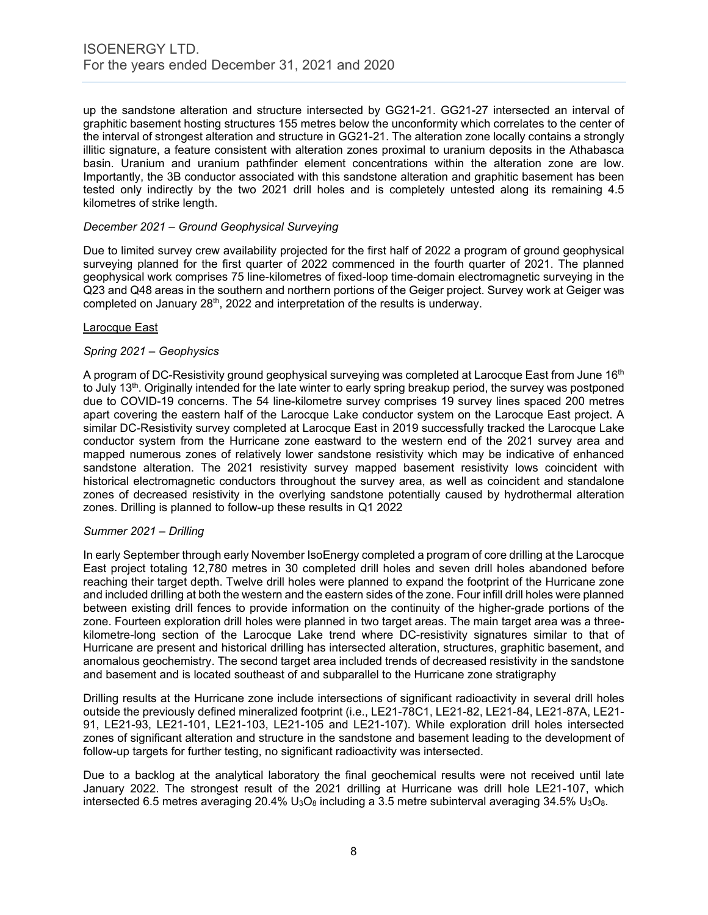up the sandstone alteration and structure intersected by GG21-21. GG21-27 intersected an interval of graphitic basement hosting structures 155 metres below the unconformity which correlates to the center of the interval of strongest alteration and structure in GG21-21. The alteration zone locally contains a strongly illitic signature, a feature consistent with alteration zones proximal to uranium deposits in the Athabasca basin. Uranium and uranium pathfinder element concentrations within the alteration zone are low. Importantly, the 3B conductor associated with this sandstone alteration and graphitic basement has been tested only indirectly by the two 2021 drill holes and is completely untested along its remaining 4.5 kilometres of strike length.

#### *December 2021 – Ground Geophysical Surveying*

Due to limited survey crew availability projected for the first half of 2022 a program of ground geophysical surveying planned for the first quarter of 2022 commenced in the fourth quarter of 2021. The planned geophysical work comprises 75 line-kilometres of fixed-loop time-domain electromagnetic surveying in the Q23 and Q48 areas in the southern and northern portions of the Geiger project. Survey work at Geiger was completed on January 28<sup>th</sup>, 2022 and interpretation of the results is underway.

#### Larocque East

# *Spring 2021 – Geophysics*

A program of DC-Resistivity ground geophysical surveying was completed at Larocque East from June 16<sup>th</sup> to July 13<sup>th</sup>. Originally intended for the late winter to early spring breakup period, the survey was postponed due to COVID-19 concerns. The 54 line-kilometre survey comprises 19 survey lines spaced 200 metres apart covering the eastern half of the Larocque Lake conductor system on the Larocque East project. A similar DC-Resistivity survey completed at Larocque East in 2019 successfully tracked the Larocque Lake conductor system from the Hurricane zone eastward to the western end of the 2021 survey area and mapped numerous zones of relatively lower sandstone resistivity which may be indicative of enhanced sandstone alteration. The 2021 resistivity survey mapped basement resistivity lows coincident with historical electromagnetic conductors throughout the survey area, as well as coincident and standalone zones of decreased resistivity in the overlying sandstone potentially caused by hydrothermal alteration zones. Drilling is planned to follow-up these results in Q1 2022

#### *Summer 2021 – Drilling*

In early September through early November IsoEnergy completed a program of core drilling at the Larocque East project totaling 12,780 metres in 30 completed drill holes and seven drill holes abandoned before reaching their target depth. Twelve drill holes were planned to expand the footprint of the Hurricane zone and included drilling at both the western and the eastern sides of the zone. Four infill drill holes were planned between existing drill fences to provide information on the continuity of the higher-grade portions of the zone. Fourteen exploration drill holes were planned in two target areas. The main target area was a threekilometre-long section of the Larocque Lake trend where DC-resistivity signatures similar to that of Hurricane are present and historical drilling has intersected alteration, structures, graphitic basement, and anomalous geochemistry. The second target area included trends of decreased resistivity in the sandstone and basement and is located southeast of and subparallel to the Hurricane zone stratigraphy

Drilling results at the Hurricane zone include intersections of significant radioactivity in several drill holes outside the previously defined mineralized footprint (i.e., LE21-78C1, LE21-82, LE21-84, LE21-87A, LE21- 91, LE21-93, LE21-101, LE21-103, LE21-105 and LE21-107). While exploration drill holes intersected zones of significant alteration and structure in the sandstone and basement leading to the development of follow-up targets for further testing, no significant radioactivity was intersected.

Due to a backlog at the analytical laboratory the final geochemical results were not received until late January 2022. The strongest result of the 2021 drilling at Hurricane was drill hole LE21-107, which intersected 6.5 metres averaging 20.4%  $U_3O_8$  including a 3.5 metre subinterval averaging 34.5%  $U_3O_8$ .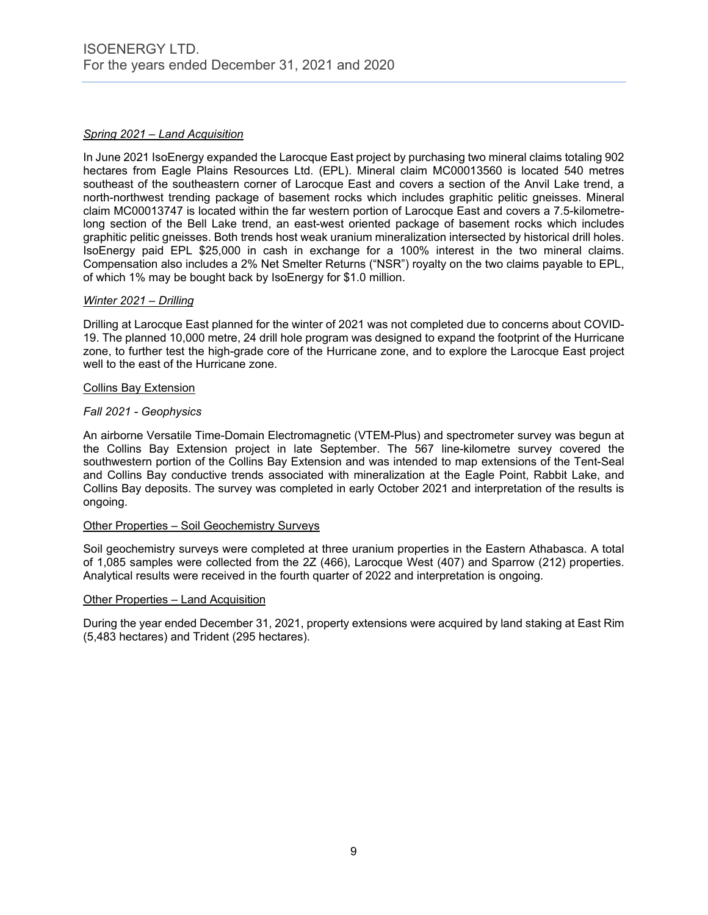# *Spring 2021 – Land Acquisition*

In June 2021 IsoEnergy expanded the Larocque East project by purchasing two mineral claims totaling 902 hectares from Eagle Plains Resources Ltd. (EPL). Mineral claim MC00013560 is located 540 metres southeast of the southeastern corner of Larocque East and covers a section of the Anvil Lake trend, a north-northwest trending package of basement rocks which includes graphitic pelitic gneisses. Mineral claim MC00013747 is located within the far western portion of Larocque East and covers a 7.5-kilometrelong section of the Bell Lake trend, an east-west oriented package of basement rocks which includes graphitic pelitic gneisses. Both trends host weak uranium mineralization intersected by historical drill holes. IsoEnergy paid EPL \$25,000 in cash in exchange for a 100% interest in the two mineral claims. Compensation also includes a 2% Net Smelter Returns ("NSR") royalty on the two claims payable to EPL, of which 1% may be bought back by IsoEnergy for \$1.0 million.

# *Winter 2021 – Drilling*

Drilling at Larocque East planned for the winter of 2021 was not completed due to concerns about COVID-19. The planned 10,000 metre, 24 drill hole program was designed to expand the footprint of the Hurricane zone, to further test the high-grade core of the Hurricane zone, and to explore the Larocque East project well to the east of the Hurricane zone.

# Collins Bay Extension

# *Fall 2021 - Geophysics*

An airborne Versatile Time-Domain Electromagnetic (VTEM-Plus) and spectrometer survey was begun at the Collins Bay Extension project in late September. The 567 line-kilometre survey covered the southwestern portion of the Collins Bay Extension and was intended to map extensions of the Tent-Seal and Collins Bay conductive trends associated with mineralization at the Eagle Point, Rabbit Lake, and Collins Bay deposits. The survey was completed in early October 2021 and interpretation of the results is ongoing.

# Other Properties – Soil Geochemistry Surveys

Soil geochemistry surveys were completed at three uranium properties in the Eastern Athabasca. A total of 1,085 samples were collected from the 2Z (466), Larocque West (407) and Sparrow (212) properties. Analytical results were received in the fourth quarter of 2022 and interpretation is ongoing.

#### Other Properties – Land Acquisition

During the year ended December 31, 2021, property extensions were acquired by land staking at East Rim (5,483 hectares) and Trident (295 hectares).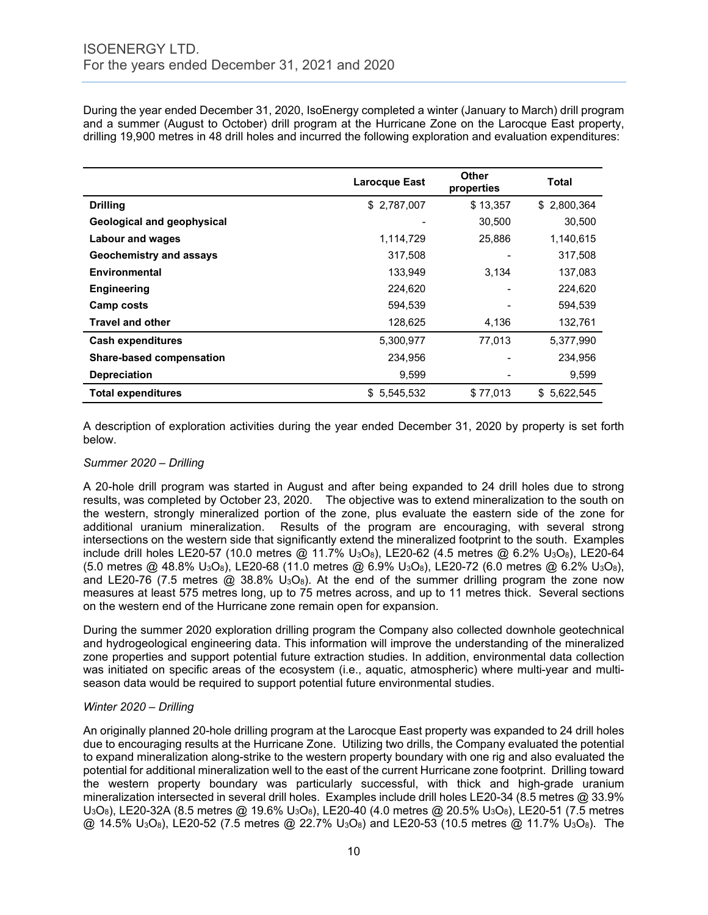During the year ended December 31, 2020, IsoEnergy completed a winter (January to March) drill program and a summer (August to October) drill program at the Hurricane Zone on the Larocque East property, drilling 19,900 metres in 48 drill holes and incurred the following exploration and evaluation expenditures:

|                                   | <b>Larocque East</b> | <b>Other</b><br>properties | <b>Total</b> |
|-----------------------------------|----------------------|----------------------------|--------------|
| <b>Drilling</b>                   | \$2,787,007          | \$13,357                   | \$2,800,364  |
| <b>Geological and geophysical</b> |                      | 30,500                     | 30,500       |
| <b>Labour and wages</b>           | 1,114,729            | 25,886                     | 1,140,615    |
| <b>Geochemistry and assays</b>    | 317,508              |                            | 317,508      |
| Environmental                     | 133,949              | 3,134                      | 137,083      |
| <b>Engineering</b>                | 224,620              |                            | 224,620      |
| Camp costs                        | 594,539              |                            | 594,539      |
| <b>Travel and other</b>           | 128,625              | 4,136                      | 132,761      |
| <b>Cash expenditures</b>          | 5,300,977            | 77,013                     | 5,377,990    |
| Share-based compensation          | 234,956              |                            | 234,956      |
| <b>Depreciation</b>               | 9,599                |                            | 9,599        |
| <b>Total expenditures</b>         | \$5,545,532          | \$77,013                   | \$5,622,545  |

A description of exploration activities during the year ended December 31, 2020 by property is set forth below.

#### *Summer 2020 – Drilling*

A 20-hole drill program was started in August and after being expanded to 24 drill holes due to strong results, was completed by October 23, 2020. The objective was to extend mineralization to the south on the western, strongly mineralized portion of the zone, plus evaluate the eastern side of the zone for additional uranium mineralization. Results of the program are encouraging, with several strong intersections on the western side that significantly extend the mineralized footprint to the south. Examples include drill holes LE20-57 (10.0 metres @ 11.7% U<sub>3</sub>O<sub>8</sub>), LE20-62 (4.5 metres @ 6.2% U<sub>3</sub>O<sub>8</sub>), LE20-64 (5.0 metres @ 48.8% U3O8), LE20-68 (11.0 metres @ 6.9% U3O8), LE20-72 (6.0 metres @ 6.2% U3O8), and LE20-76 (7.5 metres  $\omega$  38.8% U<sub>3</sub>O<sub>8</sub>). At the end of the summer drilling program the zone now measures at least 575 metres long, up to 75 metres across, and up to 11 metres thick. Several sections on the western end of the Hurricane zone remain open for expansion.

During the summer 2020 exploration drilling program the Company also collected downhole geotechnical and hydrogeological engineering data. This information will improve the understanding of the mineralized zone properties and support potential future extraction studies. In addition, environmental data collection was initiated on specific areas of the ecosystem (i.e., aquatic, atmospheric) where multi-year and multiseason data would be required to support potential future environmental studies.

# *Winter 2020 – Drilling*

An originally planned 20-hole drilling program at the Larocque East property was expanded to 24 drill holes due to encouraging results at the Hurricane Zone. Utilizing two drills, the Company evaluated the potential to expand mineralization along-strike to the western property boundary with one rig and also evaluated the potential for additional mineralization well to the east of the current Hurricane zone footprint. Drilling toward the western property boundary was particularly successful, with thick and high-grade uranium mineralization intersected in several drill holes. Examples include drill holes LE20-34 (8.5 metres @ 33.9% U3O8), LE20-32A (8.5 metres @ 19.6% U3O8), LE20-40 (4.0 metres @ 20.5% U3O8), LE20-51 (7.5 metres  $\omega$  14.5% U<sub>3</sub>O<sub>8</sub>), LE20-52 (7.5 metres  $\omega$  22.7% U<sub>3</sub>O<sub>8</sub>) and LE20-53 (10.5 metres  $\omega$  11.7% U<sub>3</sub>O<sub>8</sub>). The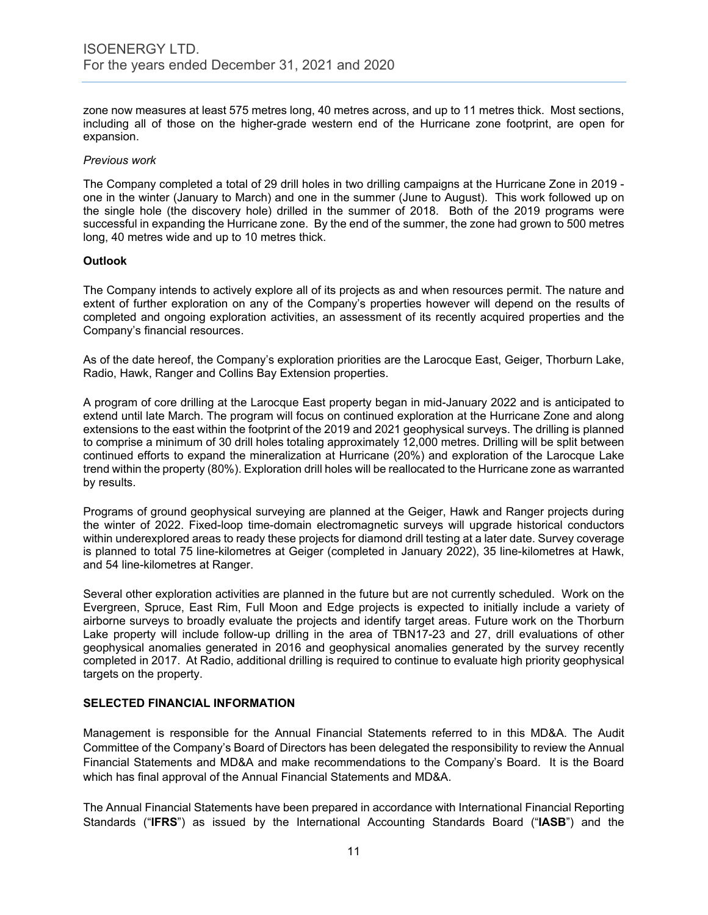zone now measures at least 575 metres long, 40 metres across, and up to 11 metres thick. Most sections, including all of those on the higher-grade western end of the Hurricane zone footprint, are open for expansion.

#### *Previous work*

The Company completed a total of 29 drill holes in two drilling campaigns at the Hurricane Zone in 2019 one in the winter (January to March) and one in the summer (June to August). This work followed up on the single hole (the discovery hole) drilled in the summer of 2018. Both of the 2019 programs were successful in expanding the Hurricane zone. By the end of the summer, the zone had grown to 500 metres long, 40 metres wide and up to 10 metres thick.

#### **Outlook**

The Company intends to actively explore all of its projects as and when resources permit. The nature and extent of further exploration on any of the Company's properties however will depend on the results of completed and ongoing exploration activities, an assessment of its recently acquired properties and the Company's financial resources.

As of the date hereof, the Company's exploration priorities are the Larocque East, Geiger, Thorburn Lake, Radio, Hawk, Ranger and Collins Bay Extension properties.

A program of core drilling at the Larocque East property began in mid-January 2022 and is anticipated to extend until late March. The program will focus on continued exploration at the Hurricane Zone and along extensions to the east within the footprint of the 2019 and 2021 geophysical surveys. The drilling is planned to comprise a minimum of 30 drill holes totaling approximately 12,000 metres. Drilling will be split between continued efforts to expand the mineralization at Hurricane (20%) and exploration of the Larocque Lake trend within the property (80%). Exploration drill holes will be reallocated to the Hurricane zone as warranted by results.

Programs of ground geophysical surveying are planned at the Geiger, Hawk and Ranger projects during the winter of 2022. Fixed-loop time-domain electromagnetic surveys will upgrade historical conductors within underexplored areas to ready these projects for diamond drill testing at a later date. Survey coverage is planned to total 75 line-kilometres at Geiger (completed in January 2022), 35 line-kilometres at Hawk, and 54 line-kilometres at Ranger.

Several other exploration activities are planned in the future but are not currently scheduled. Work on the Evergreen, Spruce, East Rim, Full Moon and Edge projects is expected to initially include a variety of airborne surveys to broadly evaluate the projects and identify target areas. Future work on the Thorburn Lake property will include follow-up drilling in the area of TBN17-23 and 27, drill evaluations of other geophysical anomalies generated in 2016 and geophysical anomalies generated by the survey recently completed in 2017. At Radio, additional drilling is required to continue to evaluate high priority geophysical targets on the property.

#### **SELECTED FINANCIAL INFORMATION**

Management is responsible for the Annual Financial Statements referred to in this MD&A. The Audit Committee of the Company's Board of Directors has been delegated the responsibility to review the Annual Financial Statements and MD&A and make recommendations to the Company's Board. It is the Board which has final approval of the Annual Financial Statements and MD&A.

The Annual Financial Statements have been prepared in accordance with International Financial Reporting Standards ("**IFRS**") as issued by the International Accounting Standards Board ("**IASB**") and the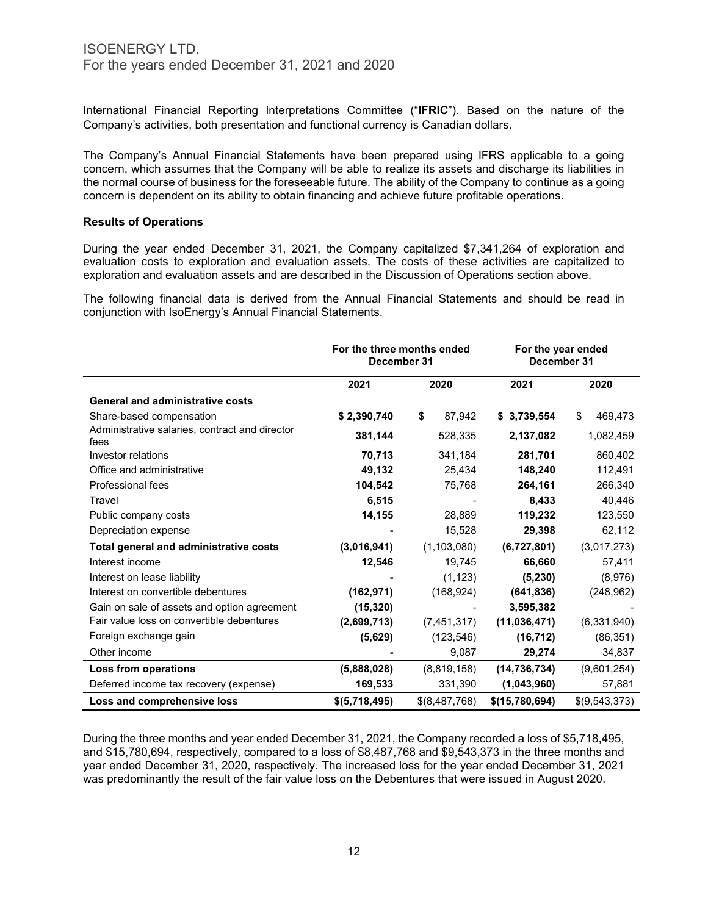International Financial Reporting Interpretations Committee ("**IFRIC**"). Based on the nature of the Company's activities, both presentation and functional currency is Canadian dollars.

The Company's Annual Financial Statements have been prepared using IFRS applicable to a going concern, which assumes that the Company will be able to realize its assets and discharge its liabilities in the normal course of business for the foreseeable future. The ability of the Company to continue as a going concern is dependent on its ability to obtain financing and achieve future profitable operations.

#### **Results of Operations**

During the year ended December 31, 2021, the Company capitalized \$7,341,264 of exploration and evaluation costs to exploration and evaluation assets. The costs of these activities are capitalized to exploration and evaluation assets and are described in the Discussion of Operations section above.

The following financial data is derived from the Annual Financial Statements and should be read in conjunction with IsoEnergy's Annual Financial Statements.

|                                                        | For the three months ended<br>December 31 |               | For the year ended<br>December 31 |               |
|--------------------------------------------------------|-------------------------------------------|---------------|-----------------------------------|---------------|
|                                                        | 2021                                      | 2020          | 2021                              | 2020          |
| <b>General and administrative costs</b>                |                                           |               |                                   |               |
| Share-based compensation                               | \$2,390,740                               | \$<br>87,942  | \$3,739,554                       | \$<br>469,473 |
| Administrative salaries, contract and director<br>fees | 381,144                                   | 528,335       | 2,137,082                         | 1,082,459     |
| Investor relations                                     | 70,713                                    | 341,184       | 281,701                           | 860,402       |
| Office and administrative                              | 49,132                                    | 25,434        | 148,240                           | 112,491       |
| Professional fees                                      | 104,542                                   | 75,768        | 264,161                           | 266,340       |
| Travel                                                 | 6,515                                     |               | 8,433                             | 40,446        |
| Public company costs                                   | 14,155                                    | 28,889        | 119,232                           | 123,550       |
| Depreciation expense                                   |                                           | 15,528        | 29,398                            | 62,112        |
| Total general and administrative costs                 | (3,016,941)                               | (1, 103, 080) | (6,727,801)                       | (3,017,273)   |
| Interest income                                        | 12,546                                    | 19,745        | 66,660                            | 57,411        |
| Interest on lease liability                            |                                           | (1, 123)      | (5, 230)                          | (8,976)       |
| Interest on convertible debentures                     | (162, 971)                                | (168, 924)    | (641, 836)                        | (248, 962)    |
| Gain on sale of assets and option agreement            | (15, 320)                                 |               | 3,595,382                         |               |
| Fair value loss on convertible debentures              | (2,699,713)                               | (7,451,317)   | (11,036,471)                      | (6,331,940)   |
| Foreign exchange gain                                  | (5,629)                                   | (123, 546)    | (16, 712)                         | (86, 351)     |
| Other income                                           |                                           | 9,087         | 29,274                            | 34,837        |
| Loss from operations                                   | (5,888,028)                               | (8,819,158)   | (14, 736, 734)                    | (9,601,254)   |
| Deferred income tax recovery (expense)                 | 169,533                                   | 331,390       | (1,043,960)                       | 57,881        |
| Loss and comprehensive loss                            | \$(5,718,495)                             | \$(8,487,768) | \$(15,780,694)                    | \$(9,543,373) |

During the three months and year ended December 31, 2021, the Company recorded a loss of \$5,718,495, and \$15,780,694, respectively, compared to a loss of \$8,487,768 and \$9,543,373 in the three months and year ended December 31, 2020, respectively. The increased loss for the year ended December 31, 2021 was predominantly the result of the fair value loss on the Debentures that were issued in August 2020.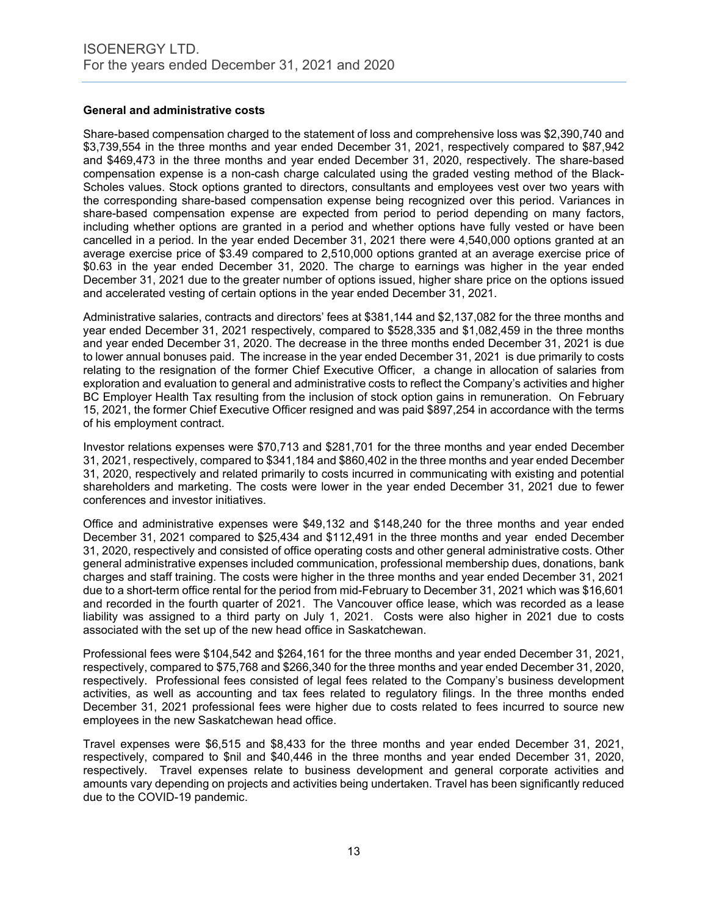# **General and administrative costs**

Share-based compensation charged to the statement of loss and comprehensive loss was \$2,390,740 and \$3,739,554 in the three months and year ended December 31, 2021, respectively compared to \$87,942 and \$469,473 in the three months and year ended December 31, 2020, respectively. The share-based compensation expense is a non-cash charge calculated using the graded vesting method of the Black-Scholes values. Stock options granted to directors, consultants and employees vest over two years with the corresponding share-based compensation expense being recognized over this period. Variances in share-based compensation expense are expected from period to period depending on many factors, including whether options are granted in a period and whether options have fully vested or have been cancelled in a period. In the year ended December 31, 2021 there were 4,540,000 options granted at an average exercise price of \$3.49 compared to 2,510,000 options granted at an average exercise price of \$0.63 in the year ended December 31, 2020. The charge to earnings was higher in the year ended December 31, 2021 due to the greater number of options issued, higher share price on the options issued and accelerated vesting of certain options in the year ended December 31, 2021.

Administrative salaries, contracts and directors' fees at \$381,144 and \$2,137,082 for the three months and year ended December 31, 2021 respectively, compared to \$528,335 and \$1,082,459 in the three months and year ended December 31, 2020. The decrease in the three months ended December 31, 2021 is due to lower annual bonuses paid. The increase in the year ended December 31, 2021 is due primarily to costs relating to the resignation of the former Chief Executive Officer, a change in allocation of salaries from exploration and evaluation to general and administrative costs to reflect the Company's activities and higher BC Employer Health Tax resulting from the inclusion of stock option gains in remuneration. On February 15, 2021, the former Chief Executive Officer resigned and was paid \$897,254 in accordance with the terms of his employment contract.

Investor relations expenses were \$70,713 and \$281,701 for the three months and year ended December 31, 2021, respectively, compared to \$341,184 and \$860,402 in the three months and year ended December 31, 2020, respectively and related primarily to costs incurred in communicating with existing and potential shareholders and marketing. The costs were lower in the year ended December 31, 2021 due to fewer conferences and investor initiatives.

Office and administrative expenses were \$49,132 and \$148,240 for the three months and year ended December 31, 2021 compared to \$25,434 and \$112,491 in the three months and year ended December 31, 2020, respectively and consisted of office operating costs and other general administrative costs. Other general administrative expenses included communication, professional membership dues, donations, bank charges and staff training. The costs were higher in the three months and year ended December 31, 2021 due to a short-term office rental for the period from mid-February to December 31, 2021 which was \$16,601 and recorded in the fourth quarter of 2021. The Vancouver office lease, which was recorded as a lease liability was assigned to a third party on July 1, 2021. Costs were also higher in 2021 due to costs associated with the set up of the new head office in Saskatchewan.

Professional fees were \$104,542 and \$264,161 for the three months and year ended December 31, 2021, respectively, compared to \$75,768 and \$266,340 for the three months and year ended December 31, 2020, respectively. Professional fees consisted of legal fees related to the Company's business development activities, as well as accounting and tax fees related to regulatory filings. In the three months ended December 31, 2021 professional fees were higher due to costs related to fees incurred to source new employees in the new Saskatchewan head office.

Travel expenses were \$6,515 and \$8,433 for the three months and year ended December 31, 2021, respectively, compared to \$nil and \$40,446 in the three months and year ended December 31, 2020, respectively. Travel expenses relate to business development and general corporate activities and amounts vary depending on projects and activities being undertaken. Travel has been significantly reduced due to the COVID-19 pandemic.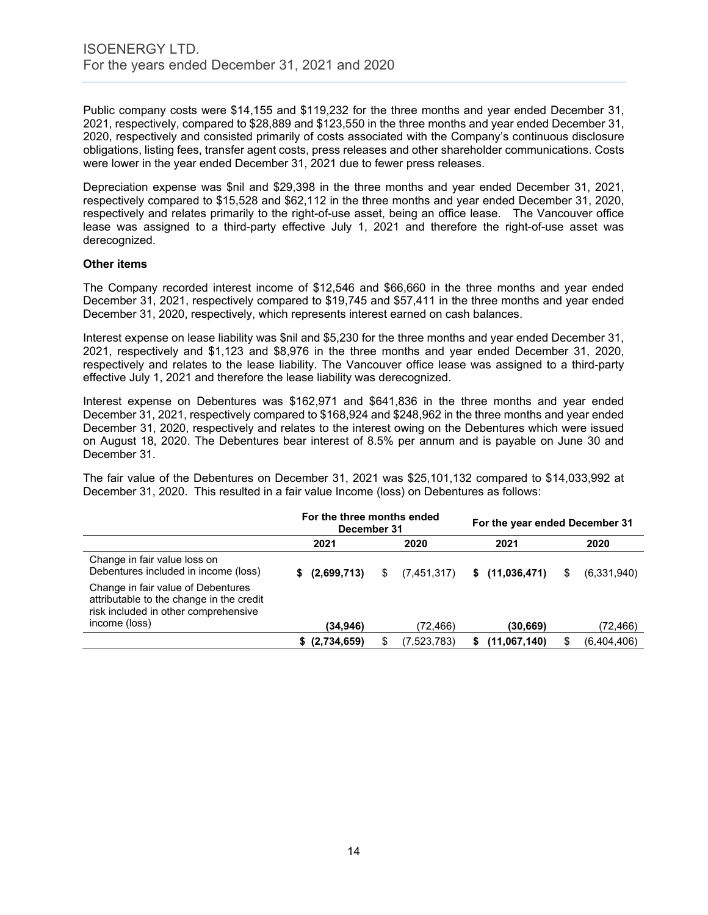Public company costs were \$14,155 and \$119,232 for the three months and year ended December 31, 2021, respectively, compared to \$28,889 and \$123,550 in the three months and year ended December 31, 2020, respectively and consisted primarily of costs associated with the Company's continuous disclosure obligations, listing fees, transfer agent costs, press releases and other shareholder communications. Costs were lower in the year ended December 31, 2021 due to fewer press releases.

Depreciation expense was \$nil and \$29,398 in the three months and year ended December 31, 2021, respectively compared to \$15,528 and \$62,112 in the three months and year ended December 31, 2020, respectively and relates primarily to the right-of-use asset, being an office lease. The Vancouver office lease was assigned to a third-party effective July 1, 2021 and therefore the right-of-use asset was derecognized.

#### **Other items**

The Company recorded interest income of \$12,546 and \$66,660 in the three months and year ended December 31, 2021, respectively compared to \$19,745 and \$57,411 in the three months and year ended December 31, 2020, respectively, which represents interest earned on cash balances.

Interest expense on lease liability was \$nil and \$5,230 for the three months and year ended December 31, 2021, respectively and \$1,123 and \$8,976 in the three months and year ended December 31, 2020, respectively and relates to the lease liability. The Vancouver office lease was assigned to a third-party effective July 1, 2021 and therefore the lease liability was derecognized.

Interest expense on Debentures was \$162,971 and \$641,836 in the three months and year ended December 31, 2021, respectively compared to \$168,924 and \$248,962 in the three months and year ended December 31, 2020, respectively and relates to the interest owing on the Debentures which were issued on August 18, 2020. The Debentures bear interest of 8.5% per annum and is payable on June 30 and December 31.

The fair value of the Debentures on December 31, 2021 was \$25,101,132 compared to \$14,033,992 at December 31, 2020. This resulted in a fair value Income (loss) on Debentures as follows:

|                                                                                                                                         | For the three months ended<br>December 31 |    |             | For the year ended December 31 |                |   |             |
|-----------------------------------------------------------------------------------------------------------------------------------------|-------------------------------------------|----|-------------|--------------------------------|----------------|---|-------------|
|                                                                                                                                         | 2021                                      |    | 2020        |                                | 2021           |   | 2020        |
| Change in fair value loss on<br>Debentures included in income (loss)                                                                    | (2,699,713)<br>S.                         | \$ | (7,451,317) |                                | \$(11,036,471) | S | (6,331,940) |
| Change in fair value of Debentures<br>attributable to the change in the credit<br>risk included in other comprehensive<br>income (loss) | (34,946)                                  |    | (72,466)    |                                | (30,669)       |   | (72,466)    |
|                                                                                                                                         | \$ (2,734,659)                            | \$ | (7,523,783) |                                | (11,067,140)   | S | (6,404,406) |
|                                                                                                                                         |                                           |    |             |                                |                |   |             |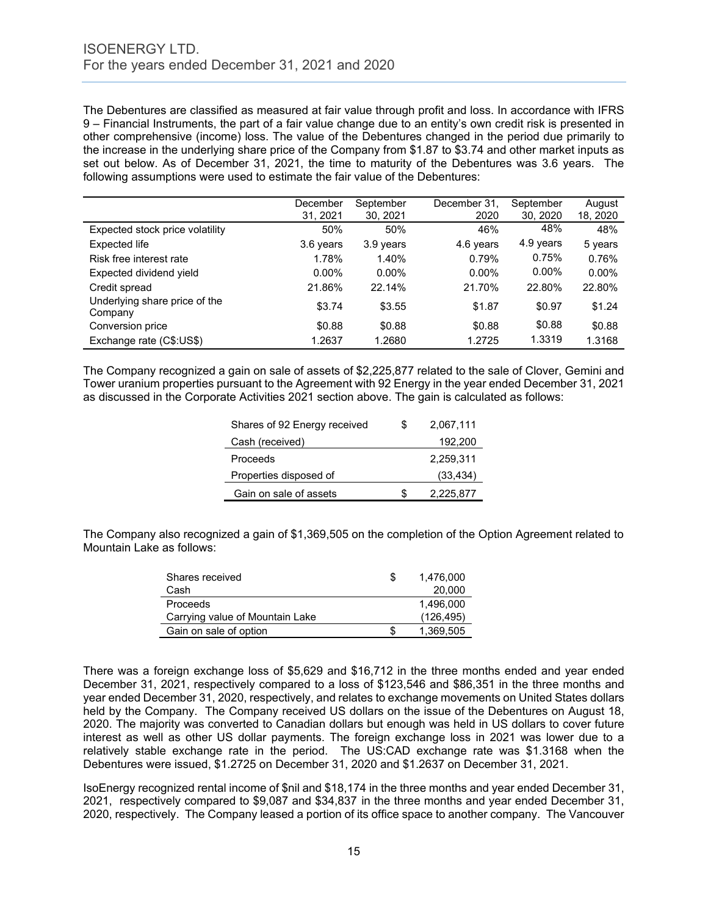The Debentures are classified as measured at fair value through profit and loss. In accordance with IFRS 9 – Financial Instruments, the part of a fair value change due to an entity's own credit risk is presented in other comprehensive (income) loss. The value of the Debentures changed in the period due primarily to the increase in the underlying share price of the Company from \$1.87 to \$3.74 and other market inputs as set out below. As of December 31, 2021, the time to maturity of the Debentures was 3.6 years. The following assumptions were used to estimate the fair value of the Debentures:

|                                          | December<br>31, 2021 | September<br>30, 2021 | December 31.<br>2020 | September<br>30, 2020 | August<br>18, 2020 |
|------------------------------------------|----------------------|-----------------------|----------------------|-----------------------|--------------------|
| Expected stock price volatility          | 50%                  | 50%                   | 46%                  | 48%                   | 48%                |
| Expected life                            | 3.6 years            | 3.9 years             | 4.6 years            | 4.9 years             | 5 years            |
| Risk free interest rate                  | 1.78%                | 1.40%                 | 0.79%                | 0.75%                 | 0.76%              |
| Expected dividend yield                  | $0.00\%$             | $0.00\%$              | $0.00\%$             | $0.00\%$              | $0.00\%$           |
| Credit spread                            | 21.86%               | 22.14%                | 21.70%               | 22.80%                | 22.80%             |
| Underlying share price of the<br>Company | \$3.74               | \$3.55                | \$1.87               | \$0.97                | \$1.24             |
| Conversion price                         | \$0.88               | \$0.88                | \$0.88               | \$0.88                | \$0.88             |
| Exchange rate (C\$:US\$)                 | 1.2637               | 1.2680                | 1.2725               | 1.3319                | 1.3168             |

The Company recognized a gain on sale of assets of \$2,225,877 related to the sale of Clover, Gemini and Tower uranium properties pursuant to the Agreement with 92 Energy in the year ended December 31, 2021 as discussed in the Corporate Activities 2021 section above. The gain is calculated as follows:

| Shares of 92 Energy received | S  | 2,067,111 |
|------------------------------|----|-----------|
| Cash (received)              |    | 192,200   |
| Proceeds                     |    | 2,259,311 |
| Properties disposed of       |    | (33, 434) |
| Gain on sale of assets       | Ж, | 2,225,877 |

The Company also recognized a gain of \$1,369,505 on the completion of the Option Agreement related to Mountain Lake as follows:

| Shares received                 | S | 1.476.000  |
|---------------------------------|---|------------|
| Cash                            |   | 20,000     |
| Proceeds                        |   | 1.496.000  |
| Carrying value of Mountain Lake |   | (126, 495) |
| Gain on sale of option          |   | 1.369.505  |

There was a foreign exchange loss of \$5,629 and \$16,712 in the three months ended and year ended December 31, 2021, respectively compared to a loss of \$123,546 and \$86,351 in the three months and year ended December 31, 2020, respectively, and relates to exchange movements on United States dollars held by the Company. The Company received US dollars on the issue of the Debentures on August 18, 2020. The majority was converted to Canadian dollars but enough was held in US dollars to cover future interest as well as other US dollar payments. The foreign exchange loss in 2021 was lower due to a relatively stable exchange rate in the period. The US:CAD exchange rate was \$1.3168 when the Debentures were issued, \$1.2725 on December 31, 2020 and \$1.2637 on December 31, 2021.

IsoEnergy recognized rental income of \$nil and \$18,174 in the three months and year ended December 31, 2021, respectively compared to \$9,087 and \$34,837 in the three months and year ended December 31, 2020, respectively. The Company leased a portion of its office space to another company. The Vancouver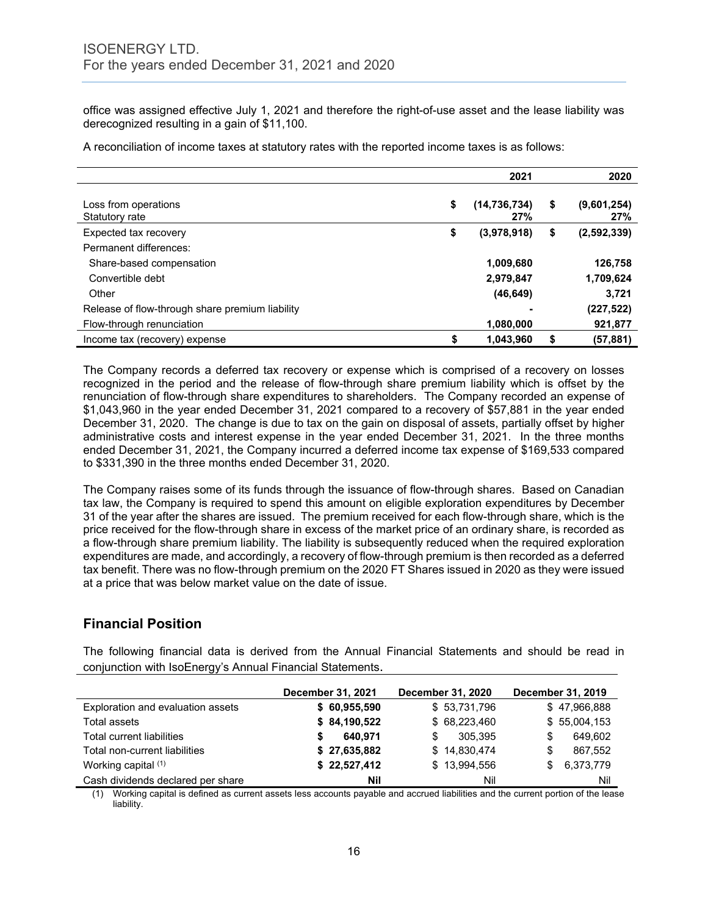office was assigned effective July 1, 2021 and therefore the right-of-use asset and the lease liability was derecognized resulting in a gain of \$11,100.

A reconciliation of income taxes at statutory rates with the reported income taxes is as follows:

|                                                 | 2021                        | 2020                     |
|-------------------------------------------------|-----------------------------|--------------------------|
| Loss from operations<br>Statutory rate          | \$<br>(14, 736, 734)<br>27% | \$<br>(9,601,254)<br>27% |
| Expected tax recovery                           | \$<br>(3,978,918)           | \$<br>(2,592,339)        |
| Permanent differences:                          |                             |                          |
| Share-based compensation                        | 1,009,680                   | 126,758                  |
| Convertible debt                                | 2,979,847                   | 1,709,624                |
| Other                                           | (46, 649)                   | 3,721                    |
| Release of flow-through share premium liability |                             | (227, 522)               |
| Flow-through renunciation                       | 1,080,000                   | 921,877                  |
| Income tax (recovery) expense                   | \$<br>1.043.960             | (57,881)                 |

The Company records a deferred tax recovery or expense which is comprised of a recovery on losses recognized in the period and the release of flow-through share premium liability which is offset by the renunciation of flow-through share expenditures to shareholders. The Company recorded an expense of \$1,043,960 in the year ended December 31, 2021 compared to a recovery of \$57,881 in the year ended December 31, 2020. The change is due to tax on the gain on disposal of assets, partially offset by higher administrative costs and interest expense in the year ended December 31, 2021. In the three months ended December 31, 2021, the Company incurred a deferred income tax expense of \$169,533 compared to \$331,390 in the three months ended December 31, 2020.

The Company raises some of its funds through the issuance of flow-through shares. Based on Canadian tax law, the Company is required to spend this amount on eligible exploration expenditures by December 31 of the year after the shares are issued. The premium received for each flow-through share, which is the price received for the flow-through share in excess of the market price of an ordinary share, is recorded as a flow-through share premium liability. The liability is subsequently reduced when the required exploration expenditures are made, and accordingly, a recovery of flow-through premium is then recorded as a deferred tax benefit. There was no flow-through premium on the 2020 FT Shares issued in 2020 as they were issued at a price that was below market value on the date of issue.

# **Financial Position**

The following financial data is derived from the Annual Financial Statements and should be read in conjunction with IsoEnergy's Annual Financial Statements.

|                                   | December 31, 2021 | <b>December 31, 2020</b> | December 31, 2019 |
|-----------------------------------|-------------------|--------------------------|-------------------|
| Exploration and evaluation assets | \$60,955,590      | \$53,731,796             | \$47,966,888      |
| Total assets                      | \$84,190,522      | \$68,223,460             | \$55,004,153      |
| Total current liabilities         | 640.971           | 305.395<br>S             | 649,602           |
| Total non-current liabilities     | \$27,635,882      | \$14,830,474             | 867.552<br>S      |
| Working capital (1)               | \$22,527,412      | \$13.994.556             | 6,373,779<br>\$.  |
| Cash dividends declared per share | Nil               | Nil                      | Nil               |

(1) Working capital is defined as current assets less accounts payable and accrued liabilities and the current portion of the lease liability.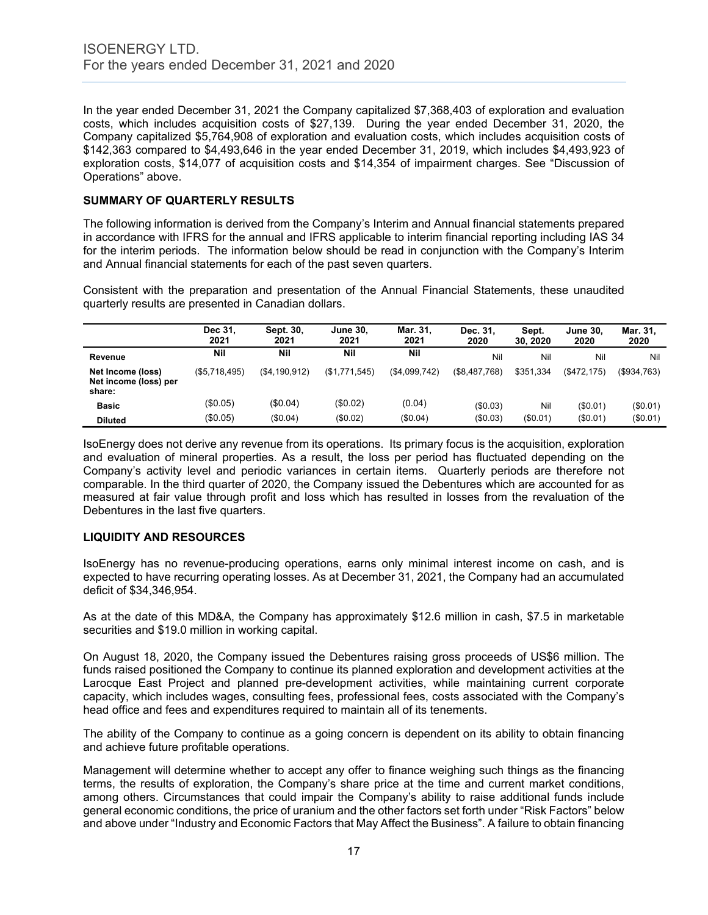In the year ended December 31, 2021 the Company capitalized \$7,368,403 of exploration and evaluation costs, which includes acquisition costs of \$27,139. During the year ended December 31, 2020, the Company capitalized \$5,764,908 of exploration and evaluation costs, which includes acquisition costs of \$142,363 compared to \$4,493,646 in the year ended December 31, 2019, which includes \$4,493,923 of exploration costs, \$14,077 of acquisition costs and \$14,354 of impairment charges. See "Discussion of Operations" above.

# **SUMMARY OF QUARTERLY RESULTS**

The following information is derived from the Company's Interim and Annual financial statements prepared in accordance with IFRS for the annual and IFRS applicable to interim financial reporting including IAS 34 for the interim periods. The information below should be read in conjunction with the Company's Interim and Annual financial statements for each of the past seven quarters.

Consistent with the preparation and presentation of the Annual Financial Statements, these unaudited quarterly results are presented in Canadian dollars.

|                                                      | Dec 31.<br>2021 | Sept. 30,<br>2021 | <b>June 30.</b><br>2021 | Mar. 31.<br>2021 | Dec. 31.<br>2020 | Sept.<br>30, 2020 | <b>June 30.</b><br>2020 | Mar. 31.<br>2020  |
|------------------------------------------------------|-----------------|-------------------|-------------------------|------------------|------------------|-------------------|-------------------------|-------------------|
| Revenue                                              | Nil             | Nil               | Nil                     | Nil              | Nil              | Nil               | Nil                     | Nil               |
| Net Income (loss)<br>Net income (loss) per<br>share: | (\$5,718,495)   | (S4.190.912)      | (\$1,771,545)           | (\$4,099,742)    | (\$8,487,768)    | \$351,334         | $($ \$472,175)          | $($ \$934.763 $)$ |
| <b>Basic</b>                                         | (\$0.05)        | (\$0.04)          | (\$0.02)                | (0.04)           | (\$0.03)         | Nil               | (\$0.01)                | (\$0.01)          |
| <b>Diluted</b>                                       | (\$0.05)        | (\$0.04)          | (\$0.02)                | (\$0.04)         | (\$0.03)         | $(\$0.01)$        | (\$0.01)                | (\$0.01)          |

IsoEnergy does not derive any revenue from its operations. Its primary focus is the acquisition, exploration and evaluation of mineral properties. As a result, the loss per period has fluctuated depending on the Company's activity level and periodic variances in certain items. Quarterly periods are therefore not comparable. In the third quarter of 2020, the Company issued the Debentures which are accounted for as measured at fair value through profit and loss which has resulted in losses from the revaluation of the Debentures in the last five quarters.

# **LIQUIDITY AND RESOURCES**

IsoEnergy has no revenue-producing operations, earns only minimal interest income on cash, and is expected to have recurring operating losses. As at December 31, 2021, the Company had an accumulated deficit of \$34,346,954.

As at the date of this MD&A, the Company has approximately \$12.6 million in cash, \$7.5 in marketable securities and \$19.0 million in working capital.

On August 18, 2020, the Company issued the Debentures raising gross proceeds of US\$6 million. The funds raised positioned the Company to continue its planned exploration and development activities at the Larocque East Project and planned pre-development activities, while maintaining current corporate capacity, which includes wages, consulting fees, professional fees, costs associated with the Company's head office and fees and expenditures required to maintain all of its tenements.

The ability of the Company to continue as a going concern is dependent on its ability to obtain financing and achieve future profitable operations.

Management will determine whether to accept any offer to finance weighing such things as the financing terms, the results of exploration, the Company's share price at the time and current market conditions, among others. Circumstances that could impair the Company's ability to raise additional funds include general economic conditions, the price of uranium and the other factors set forth under "Risk Factors" below and above under "Industry and Economic Factors that May Affect the Business". A failure to obtain financing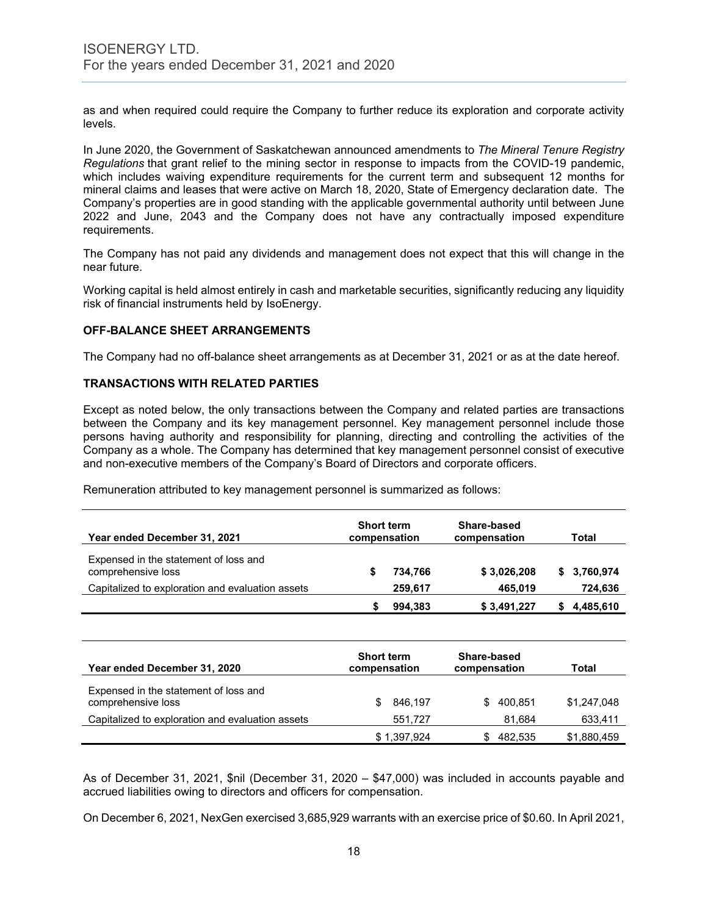as and when required could require the Company to further reduce its exploration and corporate activity levels.

In June 2020, the Government of Saskatchewan announced amendments to *The Mineral Tenure Registry Regulations* that grant relief to the mining sector in response to impacts from the COVID-19 pandemic, which includes waiving expenditure requirements for the current term and subsequent 12 months for mineral claims and leases that were active on March 18, 2020, State of Emergency declaration date. The Company's properties are in good standing with the applicable governmental authority until between June 2022 and June, 2043 and the Company does not have any contractually imposed expenditure requirements.

The Company has not paid any dividends and management does not expect that this will change in the near future.

Working capital is held almost entirely in cash and marketable securities, significantly reducing any liquidity risk of financial instruments held by IsoEnergy.

#### **OFF-BALANCE SHEET ARRANGEMENTS**

The Company had no off-balance sheet arrangements as at December 31, 2021 or as at the date hereof.

# **TRANSACTIONS WITH RELATED PARTIES**

Except as noted below, the only transactions between the Company and related parties are transactions between the Company and its key management personnel. Key management personnel include those persons having authority and responsibility for planning, directing and controlling the activities of the Company as a whole. The Company has determined that key management personnel consist of executive and non-executive members of the Company's Board of Directors and corporate officers.

Remuneration attributed to key management personnel is summarized as follows:

| Year ended December 31, 2021                                | <b>Short term</b><br>compensation |         | Share-based<br>compensation | Total |              |
|-------------------------------------------------------------|-----------------------------------|---------|-----------------------------|-------|--------------|
| Expensed in the statement of loss and<br>comprehensive loss |                                   | 734.766 | \$3,026,208                 |       | \$ 3,760,974 |
| Capitalized to exploration and evaluation assets            |                                   | 259.617 | 465.019                     |       | 724,636      |
|                                                             |                                   | 994,383 | \$3,491,227                 |       | 4,485,610    |

| Year ended December 31, 2020                                | <b>Short term</b><br>compensation | Share-based<br>compensation | Total       |
|-------------------------------------------------------------|-----------------------------------|-----------------------------|-------------|
| Expensed in the statement of loss and<br>comprehensive loss | 846,197                           | 400.851<br>£.               | \$1.247.048 |
| Capitalized to exploration and evaluation assets            | 551.727                           | 81.684                      | 633,411     |
|                                                             | \$1,397,924                       | 482.535                     | \$1,880,459 |

As of December 31, 2021, \$nil (December 31, 2020 – \$47,000) was included in accounts payable and accrued liabilities owing to directors and officers for compensation.

On December 6, 2021, NexGen exercised 3,685,929 warrants with an exercise price of \$0.60. In April 2021,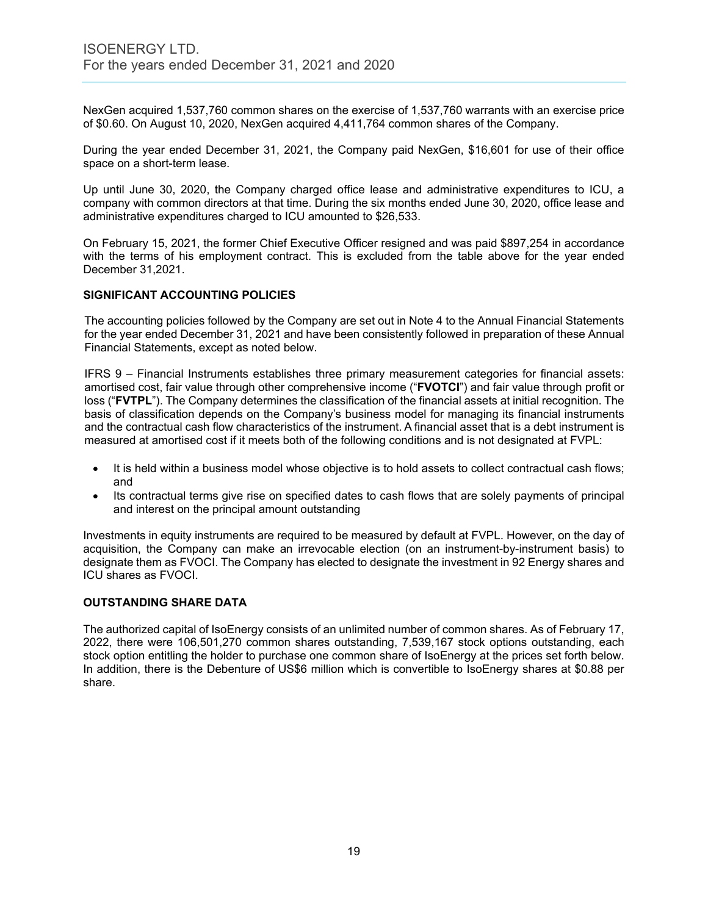NexGen acquired 1,537,760 common shares on the exercise of 1,537,760 warrants with an exercise price of \$0.60. On August 10, 2020, NexGen acquired 4,411,764 common shares of the Company.

During the year ended December 31, 2021, the Company paid NexGen, \$16,601 for use of their office space on a short-term lease.

Up until June 30, 2020, the Company charged office lease and administrative expenditures to ICU, a company with common directors at that time. During the six months ended June 30, 2020, office lease and administrative expenditures charged to ICU amounted to \$26,533.

On February 15, 2021, the former Chief Executive Officer resigned and was paid \$897,254 in accordance with the terms of his employment contract. This is excluded from the table above for the year ended December 31,2021.

# **SIGNIFICANT ACCOUNTING POLICIES**

The accounting policies followed by the Company are set out in Note 4 to the Annual Financial Statements for the year ended December 31, 2021 and have been consistently followed in preparation of these Annual Financial Statements, except as noted below.

IFRS 9 – Financial Instruments establishes three primary measurement categories for financial assets: amortised cost, fair value through other comprehensive income ("**FVOTCI**") and fair value through profit or loss ("**FVTPL**"). The Company determines the classification of the financial assets at initial recognition. The basis of classification depends on the Company's business model for managing its financial instruments and the contractual cash flow characteristics of the instrument. A financial asset that is a debt instrument is measured at amortised cost if it meets both of the following conditions and is not designated at FVPL:

- It is held within a business model whose objective is to hold assets to collect contractual cash flows; and
- Its contractual terms give rise on specified dates to cash flows that are solely payments of principal and interest on the principal amount outstanding

Investments in equity instruments are required to be measured by default at FVPL. However, on the day of acquisition, the Company can make an irrevocable election (on an instrument-by-instrument basis) to designate them as FVOCI. The Company has elected to designate the investment in 92 Energy shares and ICU shares as FVOCI.

#### **OUTSTANDING SHARE DATA**

The authorized capital of IsoEnergy consists of an unlimited number of common shares. As of February 17, 2022, there were 106,501,270 common shares outstanding, 7,539,167 stock options outstanding, each stock option entitling the holder to purchase one common share of IsoEnergy at the prices set forth below. In addition, there is the Debenture of US\$6 million which is convertible to IsoEnergy shares at \$0.88 per share.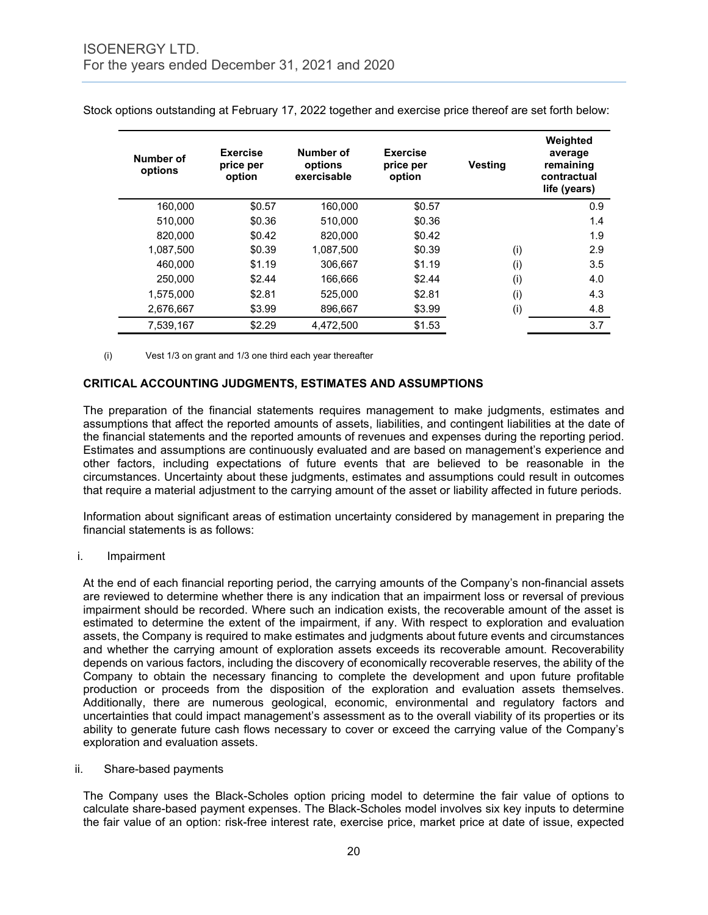| Number of<br>options | <b>Exercise</b><br>price per<br>option | Number of<br>options<br>exercisable | <b>Exercise</b><br>price per<br>option | <b>Vesting</b> | Weighted<br>average<br>remaining<br>contractual<br>life (years) |
|----------------------|----------------------------------------|-------------------------------------|----------------------------------------|----------------|-----------------------------------------------------------------|
| 160.000              | \$0.57                                 | 160,000                             | \$0.57                                 |                | 0.9                                                             |
| 510.000              | \$0.36                                 | 510.000                             | \$0.36                                 |                | 1.4                                                             |
| 820,000              | \$0.42                                 | 820,000                             | \$0.42                                 |                | 1.9                                                             |
| 1,087,500            | \$0.39                                 | 1,087,500                           | \$0.39                                 | (i)            | 2.9                                                             |
| 460.000              | \$1.19                                 | 306,667                             | \$1.19                                 | (i)            | 3.5                                                             |
| 250.000              | \$2.44                                 | 166,666                             | \$2.44                                 | (i)            | 4.0                                                             |
| 1,575,000            | \$2.81                                 | 525,000                             | \$2.81                                 | (i)            | 4.3                                                             |
| 2,676,667            | \$3.99                                 | 896,667                             | \$3.99                                 | (i)            | 4.8                                                             |
| 7,539,167            | \$2.29                                 | 4.472.500                           | \$1.53                                 |                | 3.7                                                             |

Stock options outstanding at February 17, 2022 together and exercise price thereof are set forth below:

(i) Vest 1/3 on grant and 1/3 one third each year thereafter

#### **CRITICAL ACCOUNTING JUDGMENTS, ESTIMATES AND ASSUMPTIONS**

The preparation of the financial statements requires management to make judgments, estimates and assumptions that affect the reported amounts of assets, liabilities, and contingent liabilities at the date of the financial statements and the reported amounts of revenues and expenses during the reporting period. Estimates and assumptions are continuously evaluated and are based on management's experience and other factors, including expectations of future events that are believed to be reasonable in the circumstances. Uncertainty about these judgments, estimates and assumptions could result in outcomes that require a material adjustment to the carrying amount of the asset or liability affected in future periods.

Information about significant areas of estimation uncertainty considered by management in preparing the financial statements is as follows:

i. Impairment

At the end of each financial reporting period, the carrying amounts of the Company's non-financial assets are reviewed to determine whether there is any indication that an impairment loss or reversal of previous impairment should be recorded. Where such an indication exists, the recoverable amount of the asset is estimated to determine the extent of the impairment, if any. With respect to exploration and evaluation assets, the Company is required to make estimates and judgments about future events and circumstances and whether the carrying amount of exploration assets exceeds its recoverable amount. Recoverability depends on various factors, including the discovery of economically recoverable reserves, the ability of the Company to obtain the necessary financing to complete the development and upon future profitable production or proceeds from the disposition of the exploration and evaluation assets themselves. Additionally, there are numerous geological, economic, environmental and regulatory factors and uncertainties that could impact management's assessment as to the overall viability of its properties or its ability to generate future cash flows necessary to cover or exceed the carrying value of the Company's exploration and evaluation assets.

ii. Share-based payments

The Company uses the Black-Scholes option pricing model to determine the fair value of options to calculate share-based payment expenses. The Black-Scholes model involves six key inputs to determine the fair value of an option: risk-free interest rate, exercise price, market price at date of issue, expected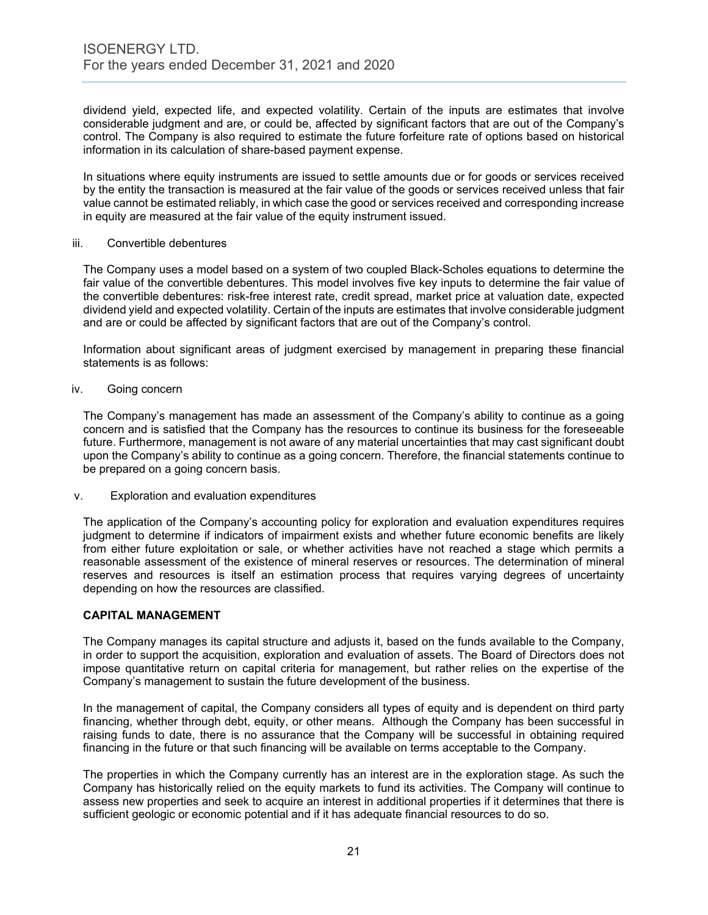dividend yield, expected life, and expected volatility. Certain of the inputs are estimates that involve considerable judgment and are, or could be, affected by significant factors that are out of the Company's control. The Company is also required to estimate the future forfeiture rate of options based on historical information in its calculation of share-based payment expense.

In situations where equity instruments are issued to settle amounts due or for goods or services received by the entity the transaction is measured at the fair value of the goods or services received unless that fair value cannot be estimated reliably, in which case the good or services received and corresponding increase in equity are measured at the fair value of the equity instrument issued.

#### iii. Convertible debentures

The Company uses a model based on a system of two coupled Black-Scholes equations to determine the fair value of the convertible debentures. This model involves five key inputs to determine the fair value of the convertible debentures: risk-free interest rate, credit spread, market price at valuation date, expected dividend yield and expected volatility. Certain of the inputs are estimates that involve considerable judgment and are or could be affected by significant factors that are out of the Company's control.

Information about significant areas of judgment exercised by management in preparing these financial statements is as follows:

#### iv. Going concern

The Company's management has made an assessment of the Company's ability to continue as a going concern and is satisfied that the Company has the resources to continue its business for the foreseeable future. Furthermore, management is not aware of any material uncertainties that may cast significant doubt upon the Company's ability to continue as a going concern. Therefore, the financial statements continue to be prepared on a going concern basis.

#### v. Exploration and evaluation expenditures

The application of the Company's accounting policy for exploration and evaluation expenditures requires judgment to determine if indicators of impairment exists and whether future economic benefits are likely from either future exploitation or sale, or whether activities have not reached a stage which permits a reasonable assessment of the existence of mineral reserves or resources. The determination of mineral reserves and resources is itself an estimation process that requires varying degrees of uncertainty depending on how the resources are classified.

#### **CAPITAL MANAGEMENT**

The Company manages its capital structure and adjusts it, based on the funds available to the Company, in order to support the acquisition, exploration and evaluation of assets. The Board of Directors does not impose quantitative return on capital criteria for management, but rather relies on the expertise of the Company's management to sustain the future development of the business.

In the management of capital, the Company considers all types of equity and is dependent on third party financing, whether through debt, equity, or other means. Although the Company has been successful in raising funds to date, there is no assurance that the Company will be successful in obtaining required financing in the future or that such financing will be available on terms acceptable to the Company.

The properties in which the Company currently has an interest are in the exploration stage. As such the Company has historically relied on the equity markets to fund its activities. The Company will continue to assess new properties and seek to acquire an interest in additional properties if it determines that there is sufficient geologic or economic potential and if it has adequate financial resources to do so.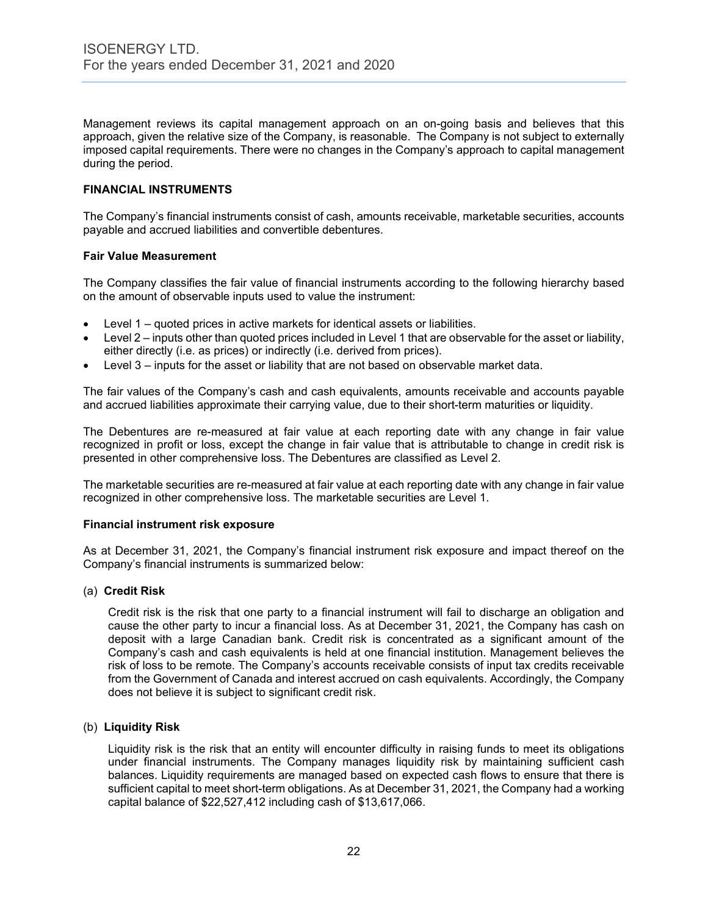Management reviews its capital management approach on an on-going basis and believes that this approach, given the relative size of the Company, is reasonable. The Company is not subject to externally imposed capital requirements. There were no changes in the Company's approach to capital management during the period.

# **FINANCIAL INSTRUMENTS**

The Company's financial instruments consist of cash, amounts receivable, marketable securities, accounts payable and accrued liabilities and convertible debentures.

#### **Fair Value Measurement**

The Company classifies the fair value of financial instruments according to the following hierarchy based on the amount of observable inputs used to value the instrument:

- Level 1 quoted prices in active markets for identical assets or liabilities.
- Level 2 inputs other than quoted prices included in Level 1 that are observable for the asset or liability, either directly (i.e. as prices) or indirectly (i.e. derived from prices).
- Level 3 inputs for the asset or liability that are not based on observable market data.

The fair values of the Company's cash and cash equivalents, amounts receivable and accounts payable and accrued liabilities approximate their carrying value, due to their short-term maturities or liquidity.

The Debentures are re-measured at fair value at each reporting date with any change in fair value recognized in profit or loss, except the change in fair value that is attributable to change in credit risk is presented in other comprehensive loss. The Debentures are classified as Level 2.

The marketable securities are re-measured at fair value at each reporting date with any change in fair value recognized in other comprehensive loss. The marketable securities are Level 1.

#### **Financial instrument risk exposure**

As at December 31, 2021, the Company's financial instrument risk exposure and impact thereof on the Company's financial instruments is summarized below:

#### (a) **Credit Risk**

Credit risk is the risk that one party to a financial instrument will fail to discharge an obligation and cause the other party to incur a financial loss. As at December 31, 2021, the Company has cash on deposit with a large Canadian bank. Credit risk is concentrated as a significant amount of the Company's cash and cash equivalents is held at one financial institution. Management believes the risk of loss to be remote. The Company's accounts receivable consists of input tax credits receivable from the Government of Canada and interest accrued on cash equivalents. Accordingly, the Company does not believe it is subject to significant credit risk.

#### (b) **Liquidity Risk**

Liquidity risk is the risk that an entity will encounter difficulty in raising funds to meet its obligations under financial instruments. The Company manages liquidity risk by maintaining sufficient cash balances. Liquidity requirements are managed based on expected cash flows to ensure that there is sufficient capital to meet short-term obligations. As at December 31, 2021, the Company had a working capital balance of \$22,527,412 including cash of \$13,617,066.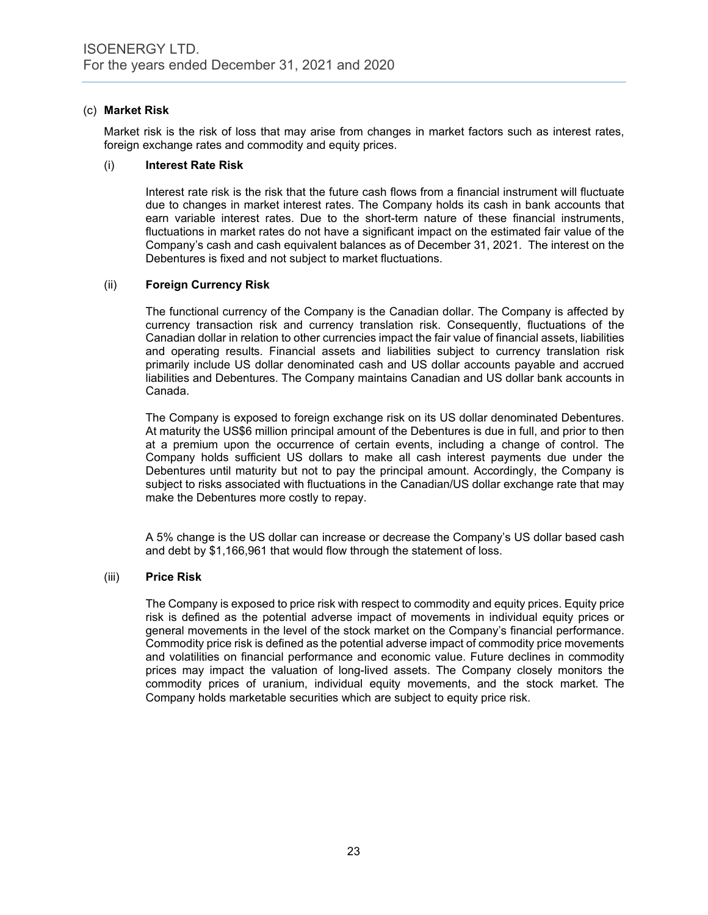# (c) **Market Risk**

Market risk is the risk of loss that may arise from changes in market factors such as interest rates, foreign exchange rates and commodity and equity prices.

#### (i) **Interest Rate Risk**

Interest rate risk is the risk that the future cash flows from a financial instrument will fluctuate due to changes in market interest rates. The Company holds its cash in bank accounts that earn variable interest rates. Due to the short-term nature of these financial instruments, fluctuations in market rates do not have a significant impact on the estimated fair value of the Company's cash and cash equivalent balances as of December 31, 2021. The interest on the Debentures is fixed and not subject to market fluctuations.

# (ii) **Foreign Currency Risk**

The functional currency of the Company is the Canadian dollar. The Company is affected by currency transaction risk and currency translation risk. Consequently, fluctuations of the Canadian dollar in relation to other currencies impact the fair value of financial assets, liabilities and operating results. Financial assets and liabilities subject to currency translation risk primarily include US dollar denominated cash and US dollar accounts payable and accrued liabilities and Debentures. The Company maintains Canadian and US dollar bank accounts in Canada.

The Company is exposed to foreign exchange risk on its US dollar denominated Debentures. At maturity the US\$6 million principal amount of the Debentures is due in full, and prior to then at a premium upon the occurrence of certain events, including a change of control. The Company holds sufficient US dollars to make all cash interest payments due under the Debentures until maturity but not to pay the principal amount. Accordingly, the Company is subject to risks associated with fluctuations in the Canadian/US dollar exchange rate that may make the Debentures more costly to repay.

A 5% change is the US dollar can increase or decrease the Company's US dollar based cash and debt by \$1,166,961 that would flow through the statement of loss.

#### (iii) **Price Risk**

The Company is exposed to price risk with respect to commodity and equity prices. Equity price risk is defined as the potential adverse impact of movements in individual equity prices or general movements in the level of the stock market on the Company's financial performance. Commodity price risk is defined as the potential adverse impact of commodity price movements and volatilities on financial performance and economic value. Future declines in commodity prices may impact the valuation of long-lived assets. The Company closely monitors the commodity prices of uranium, individual equity movements, and the stock market. The Company holds marketable securities which are subject to equity price risk.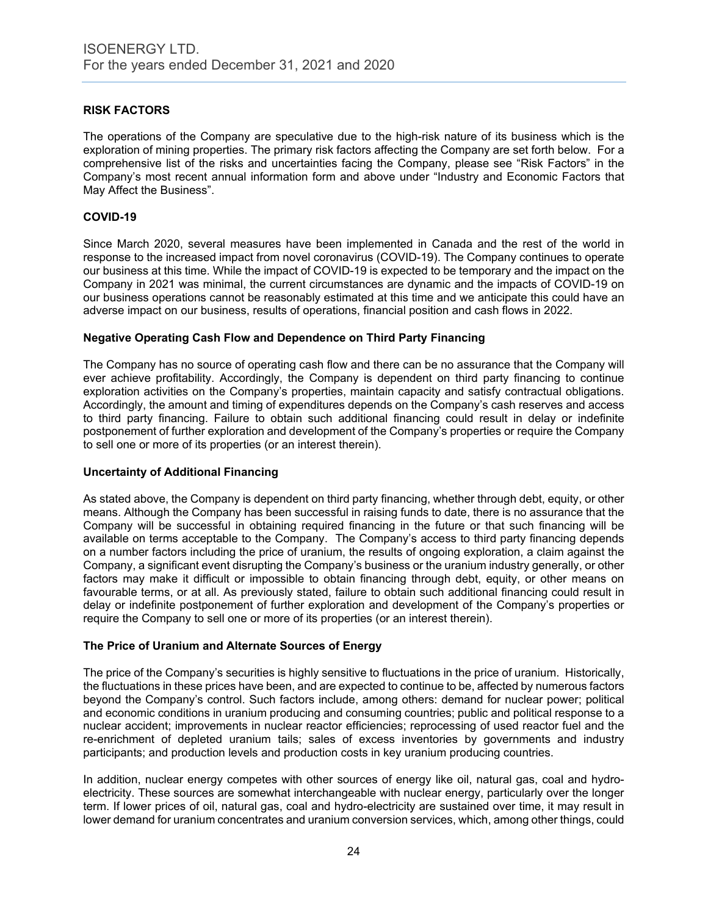# **RISK FACTORS**

The operations of the Company are speculative due to the high-risk nature of its business which is the exploration of mining properties. The primary risk factors affecting the Company are set forth below. For a comprehensive list of the risks and uncertainties facing the Company, please see "Risk Factors" in the Company's most recent annual information form and above under "Industry and Economic Factors that May Affect the Business".

# **COVID-19**

Since March 2020, several measures have been implemented in Canada and the rest of the world in response to the increased impact from novel coronavirus (COVID-19). The Company continues to operate our business at this time. While the impact of COVID-19 is expected to be temporary and the impact on the Company in 2021 was minimal, the current circumstances are dynamic and the impacts of COVID-19 on our business operations cannot be reasonably estimated at this time and we anticipate this could have an adverse impact on our business, results of operations, financial position and cash flows in 2022.

# **Negative Operating Cash Flow and Dependence on Third Party Financing**

The Company has no source of operating cash flow and there can be no assurance that the Company will ever achieve profitability. Accordingly, the Company is dependent on third party financing to continue exploration activities on the Company's properties, maintain capacity and satisfy contractual obligations. Accordingly, the amount and timing of expenditures depends on the Company's cash reserves and access to third party financing. Failure to obtain such additional financing could result in delay or indefinite postponement of further exploration and development of the Company's properties or require the Company to sell one or more of its properties (or an interest therein).

#### **Uncertainty of Additional Financing**

As stated above, the Company is dependent on third party financing, whether through debt, equity, or other means. Although the Company has been successful in raising funds to date, there is no assurance that the Company will be successful in obtaining required financing in the future or that such financing will be available on terms acceptable to the Company. The Company's access to third party financing depends on a number factors including the price of uranium, the results of ongoing exploration, a claim against the Company, a significant event disrupting the Company's business or the uranium industry generally, or other factors may make it difficult or impossible to obtain financing through debt, equity, or other means on favourable terms, or at all. As previously stated, failure to obtain such additional financing could result in delay or indefinite postponement of further exploration and development of the Company's properties or require the Company to sell one or more of its properties (or an interest therein).

#### **The Price of Uranium and Alternate Sources of Energy**

The price of the Company's securities is highly sensitive to fluctuations in the price of uranium. Historically, the fluctuations in these prices have been, and are expected to continue to be, affected by numerous factors beyond the Company's control. Such factors include, among others: demand for nuclear power; political and economic conditions in uranium producing and consuming countries; public and political response to a nuclear accident; improvements in nuclear reactor efficiencies; reprocessing of used reactor fuel and the re-enrichment of depleted uranium tails; sales of excess inventories by governments and industry participants; and production levels and production costs in key uranium producing countries.

In addition, nuclear energy competes with other sources of energy like oil, natural gas, coal and hydroelectricity. These sources are somewhat interchangeable with nuclear energy, particularly over the longer term. If lower prices of oil, natural gas, coal and hydro-electricity are sustained over time, it may result in lower demand for uranium concentrates and uranium conversion services, which, among other things, could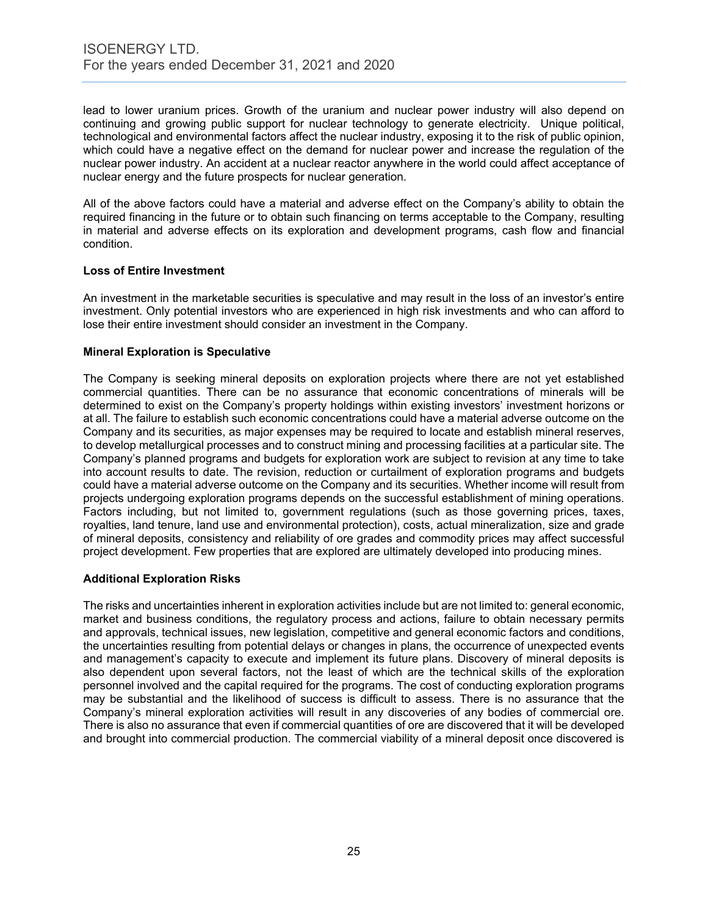lead to lower uranium prices. Growth of the uranium and nuclear power industry will also depend on continuing and growing public support for nuclear technology to generate electricity. Unique political, technological and environmental factors affect the nuclear industry, exposing it to the risk of public opinion, which could have a negative effect on the demand for nuclear power and increase the regulation of the nuclear power industry. An accident at a nuclear reactor anywhere in the world could affect acceptance of nuclear energy and the future prospects for nuclear generation.

All of the above factors could have a material and adverse effect on the Company's ability to obtain the required financing in the future or to obtain such financing on terms acceptable to the Company, resulting in material and adverse effects on its exploration and development programs, cash flow and financial condition.

# **Loss of Entire Investment**

An investment in the marketable securities is speculative and may result in the loss of an investor's entire investment. Only potential investors who are experienced in high risk investments and who can afford to lose their entire investment should consider an investment in the Company.

# **Mineral Exploration is Speculative**

The Company is seeking mineral deposits on exploration projects where there are not yet established commercial quantities. There can be no assurance that economic concentrations of minerals will be determined to exist on the Company's property holdings within existing investors' investment horizons or at all. The failure to establish such economic concentrations could have a material adverse outcome on the Company and its securities, as major expenses may be required to locate and establish mineral reserves, to develop metallurgical processes and to construct mining and processing facilities at a particular site. The Company's planned programs and budgets for exploration work are subject to revision at any time to take into account results to date. The revision, reduction or curtailment of exploration programs and budgets could have a material adverse outcome on the Company and its securities. Whether income will result from projects undergoing exploration programs depends on the successful establishment of mining operations. Factors including, but not limited to, government regulations (such as those governing prices, taxes, royalties, land tenure, land use and environmental protection), costs, actual mineralization, size and grade of mineral deposits, consistency and reliability of ore grades and commodity prices may affect successful project development. Few properties that are explored are ultimately developed into producing mines.

# **Additional Exploration Risks**

The risks and uncertainties inherent in exploration activities include but are not limited to: general economic, market and business conditions, the regulatory process and actions, failure to obtain necessary permits and approvals, technical issues, new legislation, competitive and general economic factors and conditions, the uncertainties resulting from potential delays or changes in plans, the occurrence of unexpected events and management's capacity to execute and implement its future plans. Discovery of mineral deposits is also dependent upon several factors, not the least of which are the technical skills of the exploration personnel involved and the capital required for the programs. The cost of conducting exploration programs may be substantial and the likelihood of success is difficult to assess. There is no assurance that the Company's mineral exploration activities will result in any discoveries of any bodies of commercial ore. There is also no assurance that even if commercial quantities of ore are discovered that it will be developed and brought into commercial production. The commercial viability of a mineral deposit once discovered is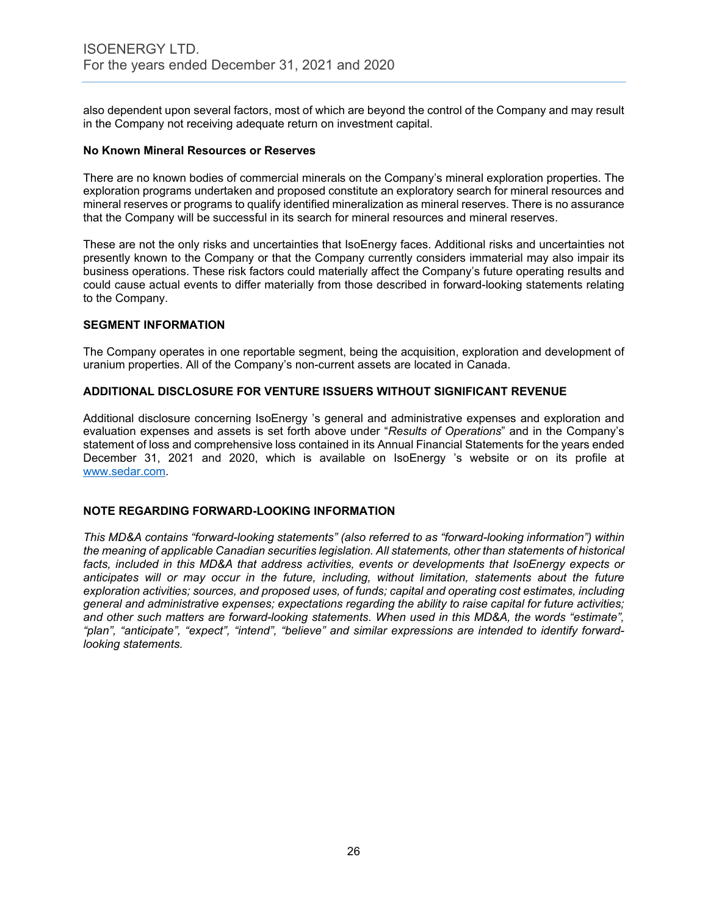also dependent upon several factors, most of which are beyond the control of the Company and may result in the Company not receiving adequate return on investment capital.

#### **No Known Mineral Resources or Reserves**

There are no known bodies of commercial minerals on the Company's mineral exploration properties. The exploration programs undertaken and proposed constitute an exploratory search for mineral resources and mineral reserves or programs to qualify identified mineralization as mineral reserves. There is no assurance that the Company will be successful in its search for mineral resources and mineral reserves.

These are not the only risks and uncertainties that IsoEnergy faces. Additional risks and uncertainties not presently known to the Company or that the Company currently considers immaterial may also impair its business operations. These risk factors could materially affect the Company's future operating results and could cause actual events to differ materially from those described in forward-looking statements relating to the Company.

#### **SEGMENT INFORMATION**

The Company operates in one reportable segment, being the acquisition, exploration and development of uranium properties. All of the Company's non-current assets are located in Canada.

#### **ADDITIONAL DISCLOSURE FOR VENTURE ISSUERS WITHOUT SIGNIFICANT REVENUE**

Additional disclosure concerning IsoEnergy 's general and administrative expenses and exploration and evaluation expenses and assets is set forth above under "*Results of Operations*" and in the Company's statement of loss and comprehensive loss contained in its Annual Financial Statements for the years ended December 31, 2021 and 2020, which is available on IsoEnergy 's website or on its profile at [www.sedar.com.](http://www.sedar.com/)

#### **NOTE REGARDING FORWARD-LOOKING INFORMATION**

*This MD&A contains "forward-looking statements" (also referred to as "forward-looking information") within the meaning of applicable Canadian securities legislation. All statements, other than statements of historical facts, included in this MD&A that address activities, events or developments that IsoEnergy expects or anticipates will or may occur in the future, including, without limitation, statements about the future exploration activities; sources, and proposed uses, of funds; capital and operating cost estimates, including general and administrative expenses; expectations regarding the ability to raise capital for future activities; and other such matters are forward-looking statements. When used in this MD&A, the words "estimate", "plan", "anticipate", "expect", "intend", "believe" and similar expressions are intended to identify forwardlooking statements.*